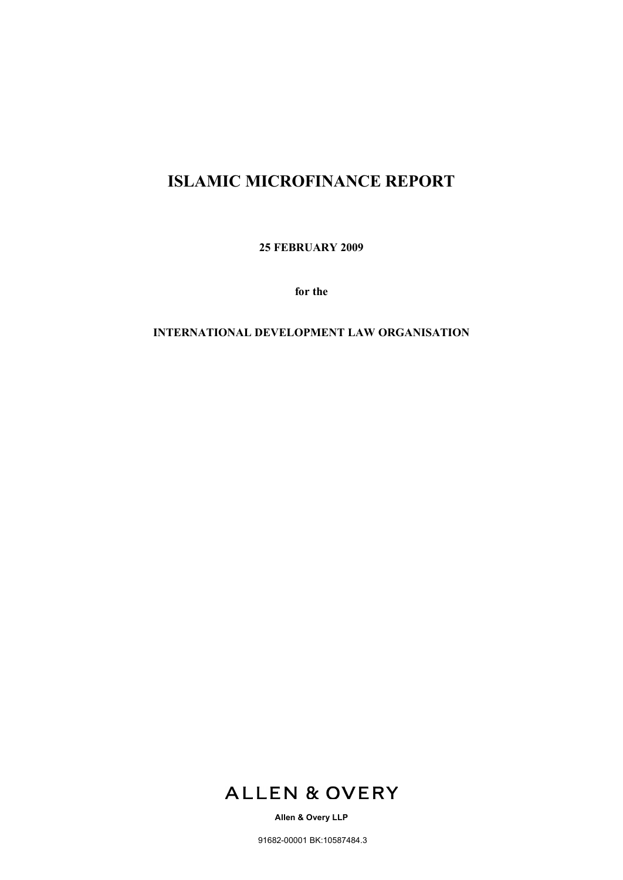# **ISLAMIC MICROFINANCE REPORT**

**25 FEBRUARY 2009**

**for the**

# **INTERNATIONAL DEVELOPMENT LAW ORGANISATION**



**Allen & Overy LLP**

91682-00001 BK:10587484.3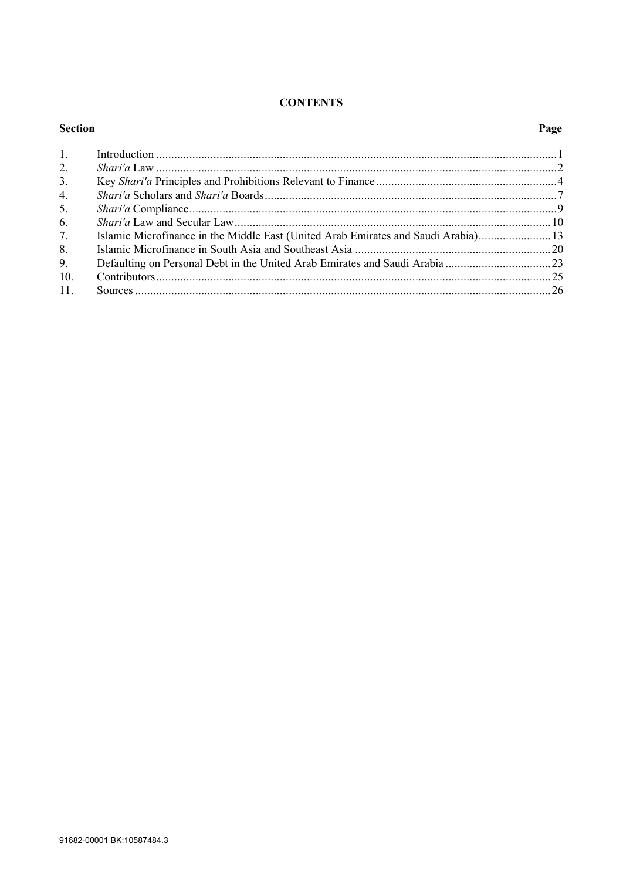# **CONTENTS**

| <b>Section</b> |                                                                                   | Page |
|----------------|-----------------------------------------------------------------------------------|------|
|                |                                                                                   |      |
| $\mathcal{D}$  |                                                                                   |      |
| 3.             |                                                                                   |      |
| $\overline{4}$ |                                                                                   |      |
| .5.            |                                                                                   |      |
| 6              |                                                                                   |      |
|                | Islamic Microfinance in the Middle East (United Arab Emirates and Saudi Arabia)13 |      |
| 8.             |                                                                                   |      |
| 9.             |                                                                                   |      |
| 10             |                                                                                   |      |
| 11.            |                                                                                   |      |
|                |                                                                                   |      |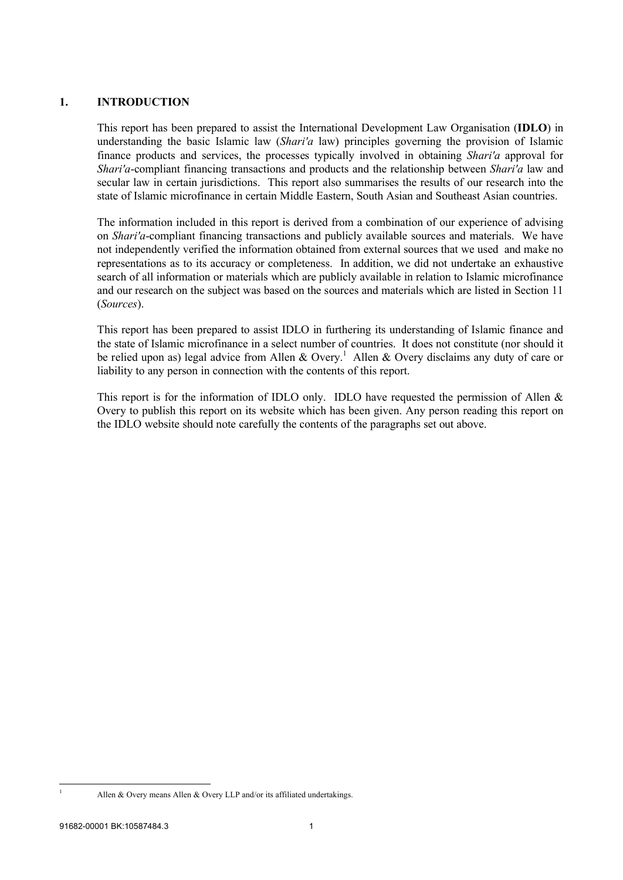# **1. INTRODUCTION**

This report has been prepared to assist the International Development Law Organisation (**IDLO**) in understanding the basic Islamic law (*Shari'a* law) principles governing the provision of Islamic finance products and services, the processes typically involved in obtaining *Shari'a* approval for *Shari'a*-compliant financing transactions and products and the relationship between *Shari'a* law and secular law in certain jurisdictions. This report also summarises the results of our research into the state of Islamic microfinance in certain Middle Eastern, South Asian and Southeast Asian countries.

The information included in this report is derived from a combination of our experience of advising on *Shari'a*-compliant financing transactions and publicly available sources and materials. We have not independently verified the information obtained from external sources that we used and make no representations as to its accuracy or completeness. In addition, we did not undertake an exhaustive search of all information or materials which are publicly available in relation to Islamic microfinance and our research on the subject was based on the sources and materials which are listed in Section 11 (*Sources*).

This report has been prepared to assist IDLO in furthering its understanding of Islamic finance and the state of Islamic microfinance in a select number of countries. It does not constitute (nor should it be relied upon as) legal advice from Allen & Overy.<sup>1</sup> Allen & Overy disclaims any duty of care or liability to any person in connection with the contents of this report.

This report is for the information of IDLO only. IDLO have requested the permission of Allen  $\&$ Overy to publish this report on its website which has been given. Any person reading this report on the IDLO website should note carefully the contents of the paragraphs set out above.

Allen & Overy means Allen & Overy LLP and/or its affiliated undertakings.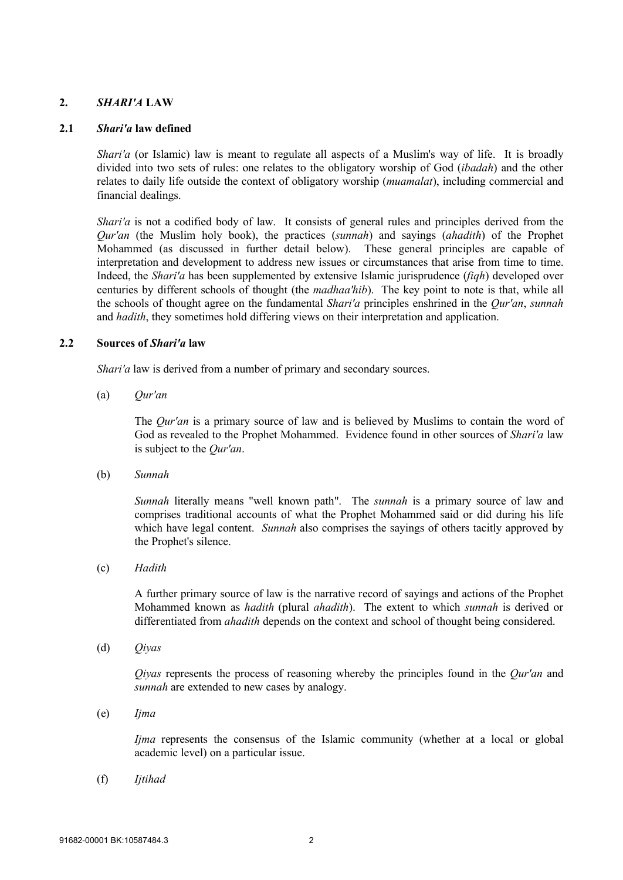# **2.** *SHARI'A* **LAW**

#### **2.1** *Shari'a* **law defined**

*Shari'a* (or Islamic) law is meant to regulate all aspects of a Muslim's way of life. It is broadly divided into two sets of rules: one relates to the obligatory worship of God (*ibadah*) and the other relates to daily life outside the context of obligatory worship (*muamalat*), including commercial and financial dealings.

*Shari'a* is not a codified body of law. It consists of general rules and principles derived from the *Qur'an* (the Muslim holy book), the practices (*sunnah*) and sayings (*ahadith*) of the Prophet Mohammed (as discussed in further detail below). These general principles are capable of interpretation and development to address new issues or circumstances that arise from time to time. Indeed, the *Shari'a* has been supplemented by extensive Islamic jurisprudence (*fiqh*) developed over centuries by different schools of thought (the *madhaa'hib*). The key point to note is that, while all the schools of thought agree on the fundamental *Shari'a* principles enshrined in the *Qur'an*, *sunnah* and *hadith*, they sometimes hold differing views on their interpretation and application.

## **2.2 Sources of** *Shari'a* **law**

*Shari'a* law is derived from a number of primary and secondary sources.

(a) *Qur'an*

The *Qur'an* is a primary source of law and is believed by Muslims to contain the word of God as revealed to the Prophet Mohammed. Evidence found in other sources of *Shari'a* law is subject to the *Qur'an*.

(b) *Sunnah*

*Sunnah* literally means "well known path". The *sunnah* is a primary source of law and comprises traditional accounts of what the Prophet Mohammed said or did during his life which have legal content. *Sunnah* also comprises the sayings of others tacitly approved by the Prophet's silence.

(c) *Hadith*

A further primary source of law is the narrative record of sayings and actions of the Prophet Mohammed known as *hadith* (plural *ahadith*). The extent to which *sunnah* is derived or differentiated from *ahadith* depends on the context and school of thought being considered.

(d) *Qiyas*

*Qiyas* represents the process of reasoning whereby the principles found in the *Qur'an* and *sunnah* are extended to new cases by analogy.

(e) *Ijma* 

*Ijma* represents the consensus of the Islamic community (whether at a local or global academic level) on a particular issue.

(f) *Ijtihad*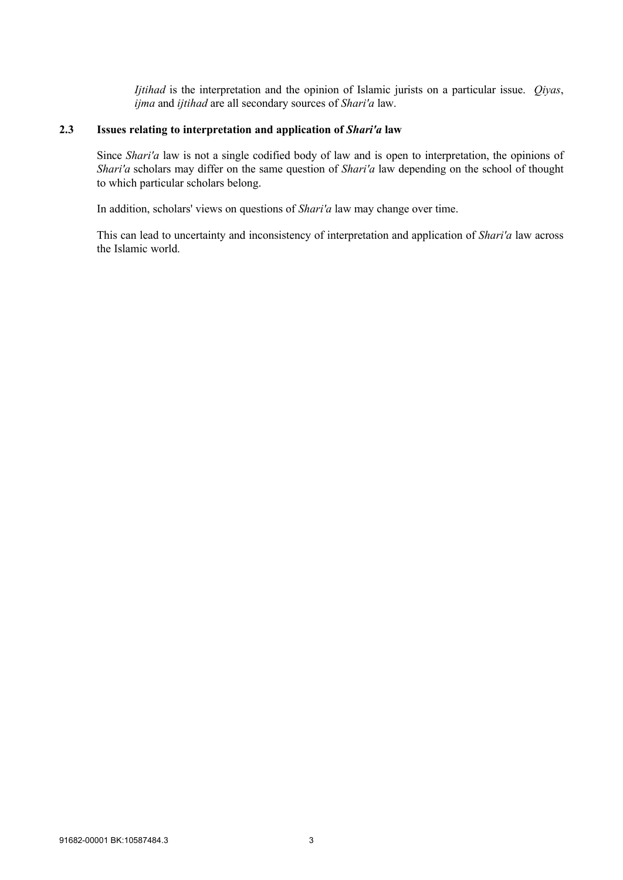*Ijtihad* is the interpretation and the opinion of Islamic jurists on a particular issue. *Qiyas*, *ijma* and *ijtihad* are all secondary sources of *Shari'a* law.

#### **2.3 Issues relating to interpretation and application of** *Shari'a* **law**

Since *Shari'a* law is not a single codified body of law and is open to interpretation, the opinions of *Shari'a* scholars may differ on the same question of *Shari'a* law depending on the school of thought to which particular scholars belong.

In addition, scholars' views on questions of *Shari'a* law may change over time.

This can lead to uncertainty and inconsistency of interpretation and application of *Shari'a* law across the Islamic world.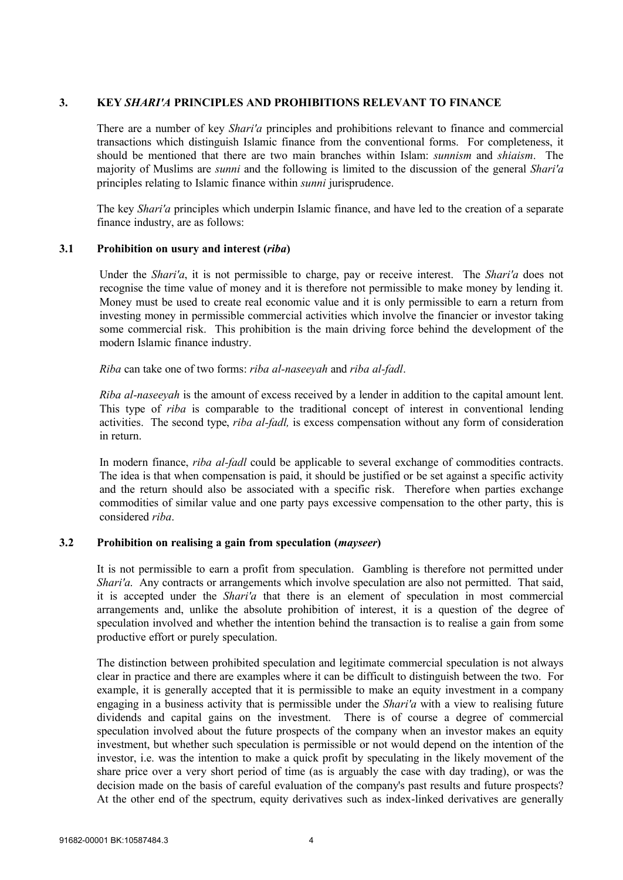# **3. KEY** *SHARI'A* **PRINCIPLES AND PROHIBITIONS RELEVANT TO FINANCE**

There are a number of key *Shari'a* principles and prohibitions relevant to finance and commercial transactions which distinguish Islamic finance from the conventional forms. For completeness, it should be mentioned that there are two main branches within Islam: *sunnism* and *shiaism*. The majority of Muslims are *sunni* and the following is limited to the discussion of the general *Shari'a* principles relating to Islamic finance within *sunni* jurisprudence.

The key *Shari'a* principles which underpin Islamic finance, and have led to the creation of a separate finance industry, are as follows:

## **3.1 Prohibition on usury and interest (***riba***)**

Under the *Shari'a*, it is not permissible to charge, pay or receive interest. The *Shari'a* does not recognise the time value of money and it is therefore not permissible to make money by lending it. Money must be used to create real economic value and it is only permissible to earn a return from investing money in permissible commercial activities which involve the financier or investor taking some commercial risk. This prohibition is the main driving force behind the development of the modern Islamic finance industry.

*Riba* can take one of two forms: *riba al-naseeyah* and *riba al-fadl*.

*Riba al-naseeyah* is the amount of excess received by a lender in addition to the capital amount lent. This type of *riba* is comparable to the traditional concept of interest in conventional lending activities. The second type, *riba al-fadl,* is excess compensation without any form of consideration in return.

In modern finance, *riba al-fadl* could be applicable to several exchange of commodities contracts. The idea is that when compensation is paid, it should be justified or be set against a specific activity and the return should also be associated with a specific risk. Therefore when parties exchange commodities of similar value and one party pays excessive compensation to the other party, this is considered *riba*.

## **3.2 Prohibition on realising a gain from speculation (***mayseer***)**

It is not permissible to earn a profit from speculation. Gambling is therefore not permitted under *Shari'a*. Any contracts or arrangements which involve speculation are also not permitted. That said, it is accepted under the *Shari'a* that there is an element of speculation in most commercial arrangements and, unlike the absolute prohibition of interest, it is a question of the degree of speculation involved and whether the intention behind the transaction is to realise a gain from some productive effort or purely speculation.

The distinction between prohibited speculation and legitimate commercial speculation is not always clear in practice and there are examples where it can be difficult to distinguish between the two. For example, it is generally accepted that it is permissible to make an equity investment in a company engaging in a business activity that is permissible under the *Shari'a* with a view to realising future dividends and capital gains on the investment. There is of course a degree of commercial speculation involved about the future prospects of the company when an investor makes an equity investment, but whether such speculation is permissible or not would depend on the intention of the investor, i.e. was the intention to make a quick profit by speculating in the likely movement of the share price over a very short period of time (as is arguably the case with day trading), or was the decision made on the basis of careful evaluation of the company's past results and future prospects? At the other end of the spectrum, equity derivatives such as index-linked derivatives are generally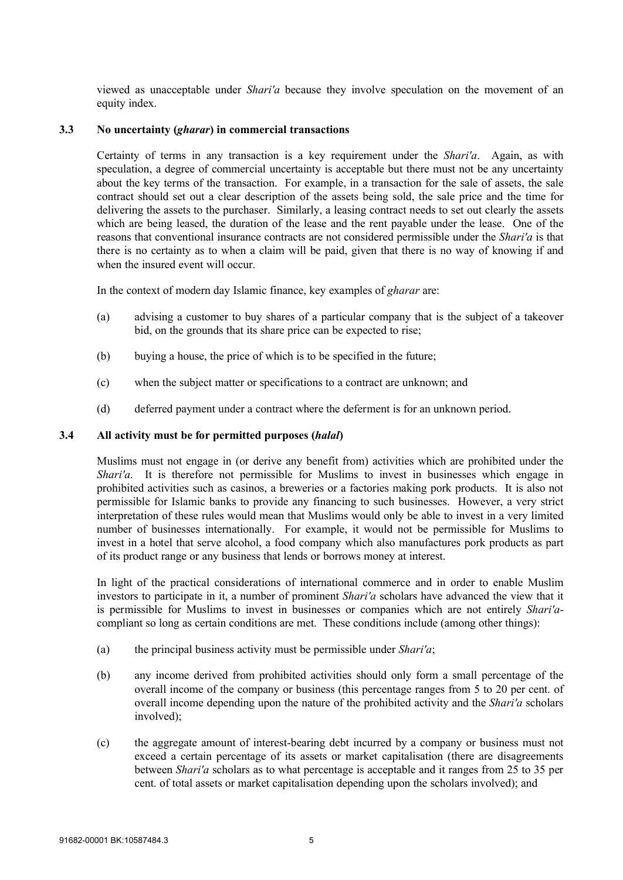viewed as unacceptable under *Shari'a* because they involve speculation on the movement of an equity index.

#### **3.3 No uncertainty (***gharar***) in commercial transactions**

Certainty of terms in any transaction is a key requirement under the *Shari'a*. Again, as with speculation, a degree of commercial uncertainty is acceptable but there must not be any uncertainty about the key terms of the transaction. For example, in a transaction for the sale of assets, the sale contract should set out a clear description of the assets being sold, the sale price and the time for delivering the assets to the purchaser. Similarly, a leasing contract needs to set out clearly the assets which are being leased, the duration of the lease and the rent payable under the lease. One of the reasons that conventional insurance contracts are not considered permissible under the *Shari'a* is that there is no certainty as to when a claim will be paid, given that there is no way of knowing if and when the insured event will occur.

In the context of modern day Islamic finance, key examples of *gharar* are:

- (a) advising a customer to buy shares of a particular company that is the subject of a takeover bid, on the grounds that its share price can be expected to rise;
- (b) buying a house, the price of which is to be specified in the future;
- (c) when the subject matter or specifications to a contract are unknown; and
- (d) deferred payment under a contract where the deferment is for an unknown period.

#### **3.4 All activity must be for permitted purposes (***halal***)**

Muslims must not engage in (or derive any benefit from) activities which are prohibited under the *Shari'a*. It is therefore not permissible for Muslims to invest in businesses which engage in prohibited activities such as casinos, a breweries or a factories making pork products. It is also not permissible for Islamic banks to provide any financing to such businesses. However, a very strict interpretation of these rules would mean that Muslims would only be able to invest in a very limited number of businesses internationally. For example, it would not be permissible for Muslims to invest in a hotel that serve alcohol, a food company which also manufactures pork products as part of its product range or any business that lends or borrows money at interest.

In light of the practical considerations of international commerce and in order to enable Muslim investors to participate in it, a number of prominent *Shari'a* scholars have advanced the view that it is permissible for Muslims to invest in businesses or companies which are not entirely *Shari'a*compliant so long as certain conditions are met. These conditions include (among other things):

- (a) the principal business activity must be permissible under *Shari'a*;
- (b) any income derived from prohibited activities should only form a small percentage of the overall income of the company or business (this percentage ranges from 5 to 20 per cent. of overall income depending upon the nature of the prohibited activity and the *Shari'a* scholars involved);
- (c) the aggregate amount of interest-bearing debt incurred by a company or business must not exceed a certain percentage of its assets or market capitalisation (there are disagreements between *Shari'a* scholars as to what percentage is acceptable and it ranges from 25 to 35 per cent. of total assets or market capitalisation depending upon the scholars involved); and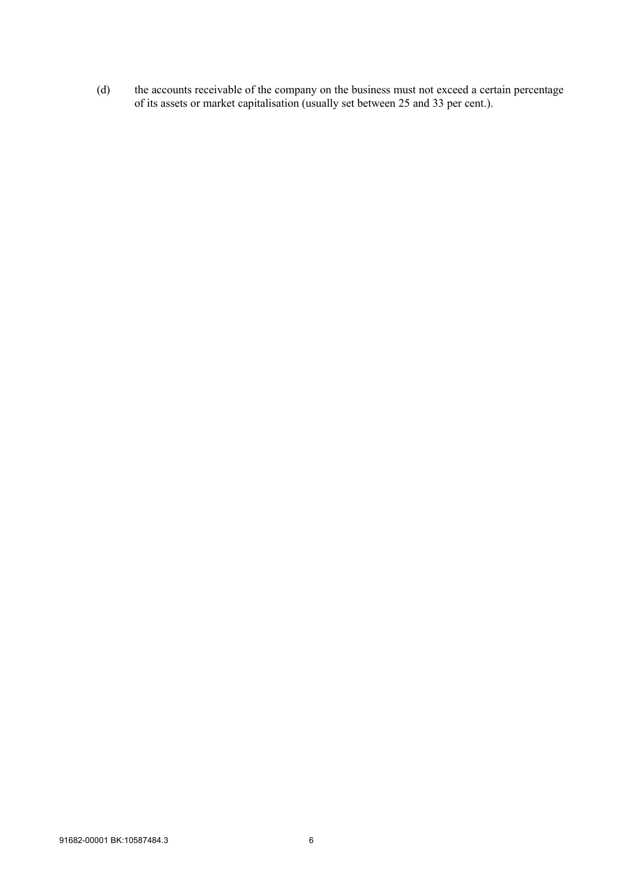(d) the accounts receivable of the company on the business must not exceed a certain percentage of its assets or market capitalisation (usually set between 25 and 33 per cent.).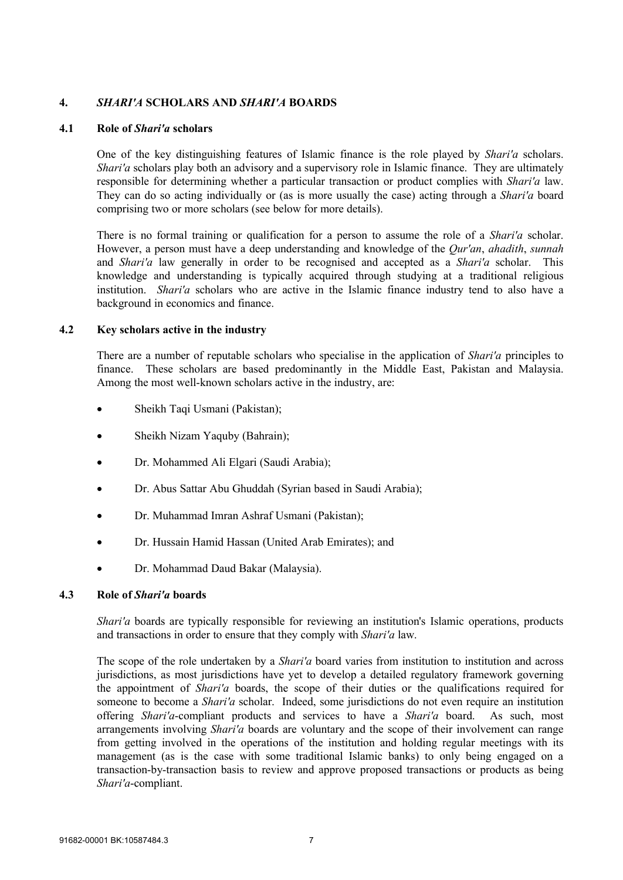## **4.** *SHARI'A* **SCHOLARS AND** *SHARI'A* **BOARDS**

#### **4.1 Role of** *Shari'a* **scholars**

One of the key distinguishing features of Islamic finance is the role played by *Shari'a* scholars. *Shari'a* scholars play both an advisory and a supervisory role in Islamic finance. They are ultimately responsible for determining whether a particular transaction or product complies with *Shari'a* law. They can do so acting individually or (as is more usually the case) acting through a *Shari'a* board comprising two or more scholars (see below for more details).

There is no formal training or qualification for a person to assume the role of a *Shari'a* scholar. However, a person must have a deep understanding and knowledge of the *Qur'an*, *ahadith*, *sunnah* and *Shari'a* law generally in order to be recognised and accepted as a *Shari'a* scholar. This knowledge and understanding is typically acquired through studying at a traditional religious institution. *Shari'a* scholars who are active in the Islamic finance industry tend to also have a background in economics and finance.

#### **4.2 Key scholars active in the industry**

There are a number of reputable scholars who specialise in the application of *Shari'a* principles to finance. These scholars are based predominantly in the Middle East, Pakistan and Malaysia. Among the most well-known scholars active in the industry, are:

- · Sheikh Taqi Usmani (Pakistan);
- Sheikh Nizam Yaquby (Bahrain);
- · Dr. Mohammed Ali Elgari (Saudi Arabia);
- · Dr. Abus Sattar Abu Ghuddah (Syrian based in Saudi Arabia);
- · Dr. Muhammad Imran Ashraf Usmani (Pakistan);
- Dr. Hussain Hamid Hassan (United Arab Emirates); and
- · Dr. Mohammad Daud Bakar (Malaysia).

## **4.3 Role of** *Shari'a* **boards**

*Shari'a* boards are typically responsible for reviewing an institution's Islamic operations, products and transactions in order to ensure that they comply with *Shari'a* law.

The scope of the role undertaken by a *Shari'a* board varies from institution to institution and across jurisdictions, as most jurisdictions have yet to develop a detailed regulatory framework governing the appointment of *Shari'a* boards, the scope of their duties or the qualifications required for someone to become a *Shari'a* scholar. Indeed, some jurisdictions do not even require an institution offering *Shari'a*-compliant products and services to have a *Shari'a* board. As such, most arrangements involving *Shari'a* boards are voluntary and the scope of their involvement can range from getting involved in the operations of the institution and holding regular meetings with its management (as is the case with some traditional Islamic banks) to only being engaged on a transaction-by-transaction basis to review and approve proposed transactions or products as being *Shari'a*-compliant.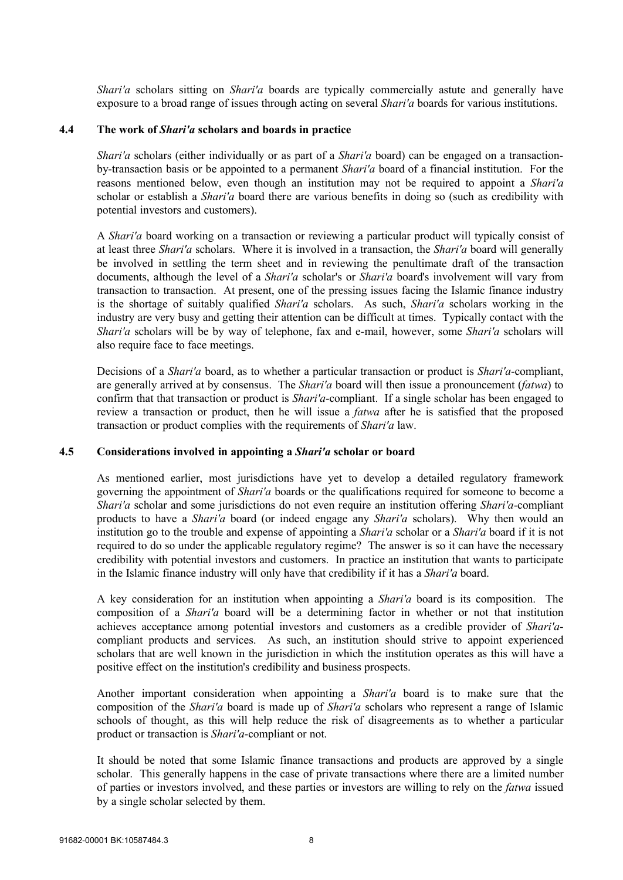*Shari'a* scholars sitting on *Shari'a* boards are typically commercially astute and generally have exposure to a broad range of issues through acting on several *Shari'a* boards for various institutions.

# **4.4 The work of** *Shari'a* **scholars and boards in practice**

*Shari'a* scholars (either individually or as part of a *Shari'a* board) can be engaged on a transactionby-transaction basis or be appointed to a permanent *Shari'a* board of a financial institution. For the reasons mentioned below, even though an institution may not be required to appoint a *Shari'a* scholar or establish a *Shari'a* board there are various benefits in doing so (such as credibility with potential investors and customers).

A *Shari'a* board working on a transaction or reviewing a particular product will typically consist of at least three *Shari'a* scholars. Where it is involved in a transaction, the *Shari'a* board will generally be involved in settling the term sheet and in reviewing the penultimate draft of the transaction documents, although the level of a *Shari'a* scholar's or *Shari'a* board's involvement will vary from transaction to transaction. At present, one of the pressing issues facing the Islamic finance industry is the shortage of suitably qualified *Shari'a* scholars. As such, *Shari'a* scholars working in the industry are very busy and getting their attention can be difficult at times. Typically contact with the *Shari'a* scholars will be by way of telephone, fax and e-mail, however, some *Shari'a* scholars will also require face to face meetings.

Decisions of a *Shari'a* board, as to whether a particular transaction or product is *Shari'a*-compliant, are generally arrived at by consensus. The *Shari'a* board will then issue a pronouncement (*fatwa*) to confirm that that transaction or product is *Shari'a*-compliant. If a single scholar has been engaged to review a transaction or product, then he will issue a *fatwa* after he is satisfied that the proposed transaction or product complies with the requirements of *Shari'a* law.

#### **4.5 Considerations involved in appointing a** *Shari'a* **scholar or board**

As mentioned earlier, most jurisdictions have yet to develop a detailed regulatory framework governing the appointment of *Shari'a* boards or the qualifications required for someone to become a *Shari'a* scholar and some jurisdictions do not even require an institution offering *Shari'a*-compliant products to have a *Shari'a* board (or indeed engage any *Shari'a* scholars). Why then would an institution go to the trouble and expense of appointing a *Shari'a* scholar or a *Shari'a* board if it is not required to do so under the applicable regulatory regime? The answer is so it can have the necessary credibility with potential investors and customers. In practice an institution that wants to participate in the Islamic finance industry will only have that credibility if it has a *Shari'a* board.

A key consideration for an institution when appointing a *Shari'a* board is its composition. The composition of a *Shari'a* board will be a determining factor in whether or not that institution achieves acceptance among potential investors and customers as a credible provider of *Shari'a*compliant products and services. As such, an institution should strive to appoint experienced scholars that are well known in the jurisdiction in which the institution operates as this will have a positive effect on the institution's credibility and business prospects.

Another important consideration when appointing a *Shari'a* board is to make sure that the composition of the *Shari'a* board is made up of *Shari'a* scholars who represent a range of Islamic schools of thought, as this will help reduce the risk of disagreements as to whether a particular product or transaction is *Shari'a*-compliant or not.

It should be noted that some Islamic finance transactions and products are approved by a single scholar. This generally happens in the case of private transactions where there are a limited number of parties or investors involved, and these parties or investors are willing to rely on the *fatwa* issued by a single scholar selected by them.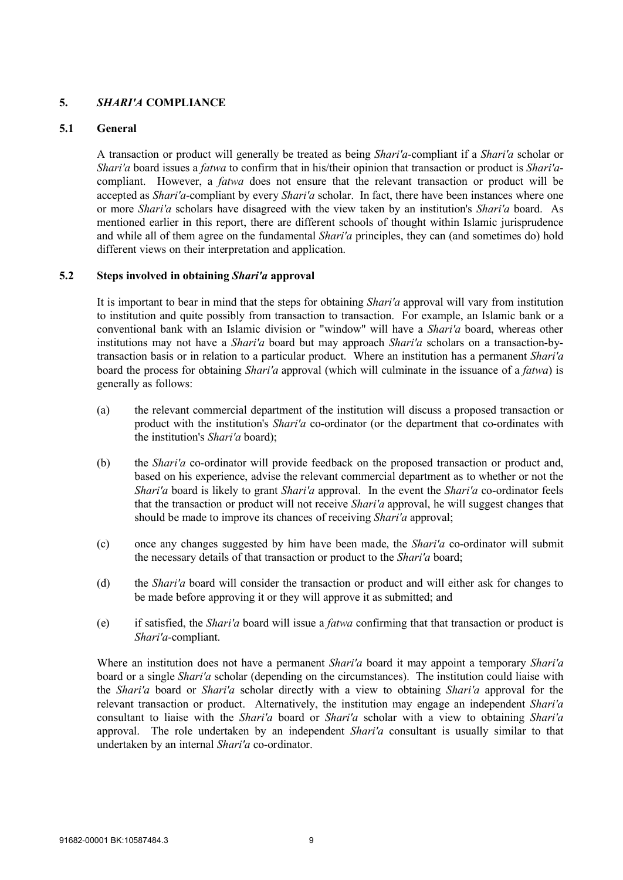# **5.** *SHARI'A* **COMPLIANCE**

# **5.1 General**

A transaction or product will generally be treated as being *Shari'a*-compliant if a *Shari'a* scholar or *Shari'a* board issues a *fatwa* to confirm that in his/their opinion that transaction or product is *Shari'a*compliant. However, a *fatwa* does not ensure that the relevant transaction or product will be accepted as *Shari'a*-compliant by every *Shari'a* scholar. In fact, there have been instances where one or more *Shari'a* scholars have disagreed with the view taken by an institution's *Shari'a* board. As mentioned earlier in this report, there are different schools of thought within Islamic jurisprudence and while all of them agree on the fundamental *Shari'a* principles, they can (and sometimes do) hold different views on their interpretation and application.

# **5.2 Steps involved in obtaining** *Shari'a* **approval**

It is important to bear in mind that the steps for obtaining *Shari'a* approval will vary from institution to institution and quite possibly from transaction to transaction. For example, an Islamic bank or a conventional bank with an Islamic division or "window" will have a *Shari'a* board, whereas other institutions may not have a *Shari'a* board but may approach *Shari'a* scholars on a transaction-bytransaction basis or in relation to a particular product. Where an institution has a permanent *Shari'a* board the process for obtaining *Shari'a* approval (which will culminate in the issuance of a *fatwa*) is generally as follows:

- (a) the relevant commercial department of the institution will discuss a proposed transaction or product with the institution's *Shari'a* co-ordinator (or the department that co-ordinates with the institution's *Shari'a* board);
- (b) the *Shari'a* co-ordinator will provide feedback on the proposed transaction or product and, based on his experience, advise the relevant commercial department as to whether or not the *Shari'a* board is likely to grant *Shari'a* approval. In the event the *Shari'a* co-ordinator feels that the transaction or product will not receive *Shari'a* approval, he will suggest changes that should be made to improve its chances of receiving *Shari'a* approval;
- (c) once any changes suggested by him have been made, the *Shari'a* co-ordinator will submit the necessary details of that transaction or product to the *Shari'a* board;
- (d) the *Shari'a* board will consider the transaction or product and will either ask for changes to be made before approving it or they will approve it as submitted; and
- (e) if satisfied, the *Shari'a* board will issue a *fatwa* confirming that that transaction or product is *Shari'a*-compliant.

Where an institution does not have a permanent *Shari'a* board it may appoint a temporary *Shari'a* board or a single *Shari'a* scholar (depending on the circumstances). The institution could liaise with the *Shari'a* board or *Shari'a* scholar directly with a view to obtaining *Shari'a* approval for the relevant transaction or product. Alternatively, the institution may engage an independent *Shari'a* consultant to liaise with the *Shari'a* board or *Shari'a* scholar with a view to obtaining *Shari'a* approval. The role undertaken by an independent *Shari'a* consultant is usually similar to that undertaken by an internal *Shari'a* co-ordinator.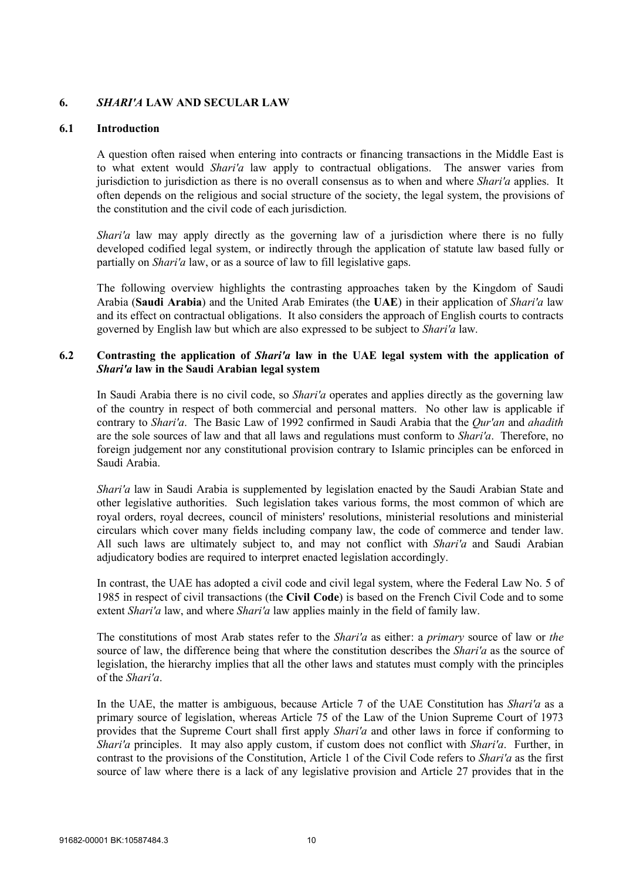# **6.** *SHARI'A* **LAW AND SECULAR LAW**

## **6.1 Introduction**

A question often raised when entering into contracts or financing transactions in the Middle East is to what extent would *Shari'a* law apply to contractual obligations. The answer varies from jurisdiction to jurisdiction as there is no overall consensus as to when and where *Shari'a* applies. It often depends on the religious and social structure of the society, the legal system, the provisions of the constitution and the civil code of each jurisdiction.

*Shari'a* law may apply directly as the governing law of a jurisdiction where there is no fully developed codified legal system, or indirectly through the application of statute law based fully or partially on *Shari'a* law, or as a source of law to fill legislative gaps.

The following overview highlights the contrasting approaches taken by the Kingdom of Saudi Arabia (**Saudi Arabia**) and the United Arab Emirates (the **UAE**) in their application of *Shari'a* law and its effect on contractual obligations. It also considers the approach of English courts to contracts governed by English law but which are also expressed to be subject to *Shari'a* law.

## **6.2 Contrasting the application of** *Shari'a* **law in the UAE legal system with the application of**  *Shari'a* **law in the Saudi Arabian legal system**

In Saudi Arabia there is no civil code, so *Shari'a* operates and applies directly as the governing law of the country in respect of both commercial and personal matters. No other law is applicable if contrary to *Shari'a*. The Basic Law of 1992 confirmed in Saudi Arabia that the *Qur'an* and *ahadith* are the sole sources of law and that all laws and regulations must conform to *Shari'a*. Therefore, no foreign judgement nor any constitutional provision contrary to Islamic principles can be enforced in Saudi Arabia.

*Shari'a* law in Saudi Arabia is supplemented by legislation enacted by the Saudi Arabian State and other legislative authorities. Such legislation takes various forms, the most common of which are royal orders, royal decrees, council of ministers' resolutions, ministerial resolutions and ministerial circulars which cover many fields including company law, the code of commerce and tender law. All such laws are ultimately subject to, and may not conflict with *Shari'a* and Saudi Arabian adjudicatory bodies are required to interpret enacted legislation accordingly.

In contrast, the UAE has adopted a civil code and civil legal system, where the Federal Law No. 5 of 1985 in respect of civil transactions (the **Civil Code**) is based on the French Civil Code and to some extent *Shari'a* law, and where *Shari'a* law applies mainly in the field of family law.

The constitutions of most Arab states refer to the *Shari'a* as either: a *primary* source of law or *the* source of law, the difference being that where the constitution describes the *Shari'a* as the source of legislation, the hierarchy implies that all the other laws and statutes must comply with the principles of the *Shari'a*.

In the UAE, the matter is ambiguous, because Article 7 of the UAE Constitution has *Shari'a* as a primary source of legislation, whereas Article 75 of the Law of the Union Supreme Court of 1973 provides that the Supreme Court shall first apply *Shari'a* and other laws in force if conforming to *Shari'a* principles. It may also apply custom, if custom does not conflict with *Shari'a*. Further, in contrast to the provisions of the Constitution, Article 1 of the Civil Code refers to *Shari'a* as the first source of law where there is a lack of any legislative provision and Article 27 provides that in the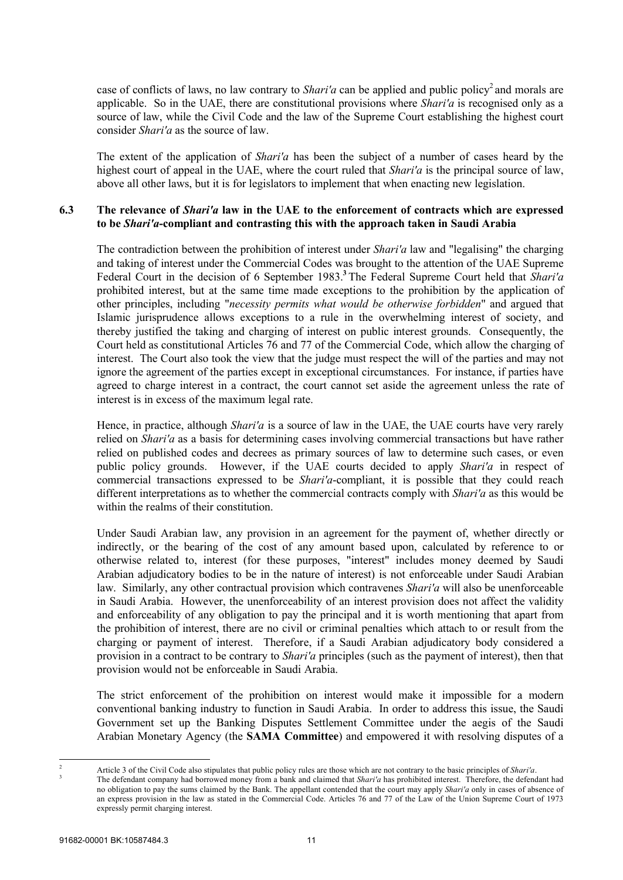case of conflicts of laws, no law contrary to *Shari'a* can be applied and public policy<sup>2</sup> and morals are applicable. So in the UAE, there are constitutional provisions where *Shari'a* is recognised only as a source of law, while the Civil Code and the law of the Supreme Court establishing the highest court consider *Shari'a* as the source of law.

The extent of the application of *Shari'a* has been the subject of a number of cases heard by the highest court of appeal in the UAE, where the court ruled that *Shari'a* is the principal source of law, above all other laws, but it is for legislators to implement that when enacting new legislation.

## **6.3 The relevance of** *Shari'a* **law in the UAE to the enforcement of contracts which are expressed to be** *Shari'a***-compliant and contrasting this with the approach taken in Saudi Arabia**

The contradiction between the prohibition of interest under *Shari'a* law and "legalising" the charging and taking of interest under the Commercial Codes was brought to the attention of the UAE Supreme Federal Court in the decision of 6 September 1983.**<sup>3</sup>** The Federal Supreme Court held that *Shari'a* prohibited interest, but at the same time made exceptions to the prohibition by the application of other principles, including "*necessity permits what would be otherwise forbidden*" and argued that Islamic jurisprudence allows exceptions to a rule in the overwhelming interest of society, and thereby justified the taking and charging of interest on public interest grounds. Consequently, the Court held as constitutional Articles 76 and 77 of the Commercial Code, which allow the charging of interest. The Court also took the view that the judge must respect the will of the parties and may not ignore the agreement of the parties except in exceptional circumstances. For instance, if parties have agreed to charge interest in a contract, the court cannot set aside the agreement unless the rate of interest is in excess of the maximum legal rate.

Hence, in practice, although *Shari'a* is a source of law in the UAE, the UAE courts have very rarely relied on *Shari'a* as a basis for determining cases involving commercial transactions but have rather relied on published codes and decrees as primary sources of law to determine such cases, or even public policy grounds. However, if the UAE courts decided to apply *Shari'a* in respect of commercial transactions expressed to be *Shari'a*-compliant, it is possible that they could reach different interpretations as to whether the commercial contracts comply with *Shari'a* as this would be within the realms of their constitution.

Under Saudi Arabian law, any provision in an agreement for the payment of, whether directly or indirectly, or the bearing of the cost of any amount based upon, calculated by reference to or otherwise related to, interest (for these purposes, "interest" includes money deemed by Saudi Arabian adjudicatory bodies to be in the nature of interest) is not enforceable under Saudi Arabian law. Similarly, any other contractual provision which contravenes *Shari'a* will also be unenforceable in Saudi Arabia. However, the unenforceability of an interest provision does not affect the validity and enforceability of any obligation to pay the principal and it is worth mentioning that apart from the prohibition of interest, there are no civil or criminal penalties which attach to or result from the charging or payment of interest. Therefore, if a Saudi Arabian adjudicatory body considered a provision in a contract to be contrary to *Shari'a* principles (such as the payment of interest), then that provision would not be enforceable in Saudi Arabia.

The strict enforcement of the prohibition on interest would make it impossible for a modern conventional banking industry to function in Saudi Arabia. In order to address this issue, the Saudi Government set up the Banking Disputes Settlement Committee under the aegis of the Saudi Arabian Monetary Agency (the **SAMA Committee**) and empowered it with resolving disputes of a

<sup>2</sup> Article 3 of the Civil Code also stipulates that public policy rules are those which are not contrary to the basic principles of *Shari'a*.

<sup>3</sup> The defendant company had borrowed money from a bank and claimed that *Shari'a* has prohibited interest. Therefore, the defendant had no obligation to pay the sums claimed by the Bank. The appellant contended that the court may apply *Shari'a* only in cases of absence of an express provision in the law as stated in the Commercial Code. Articles 76 and 77 of the Law of the Union Supreme Court of 1973 expressly permit charging interest.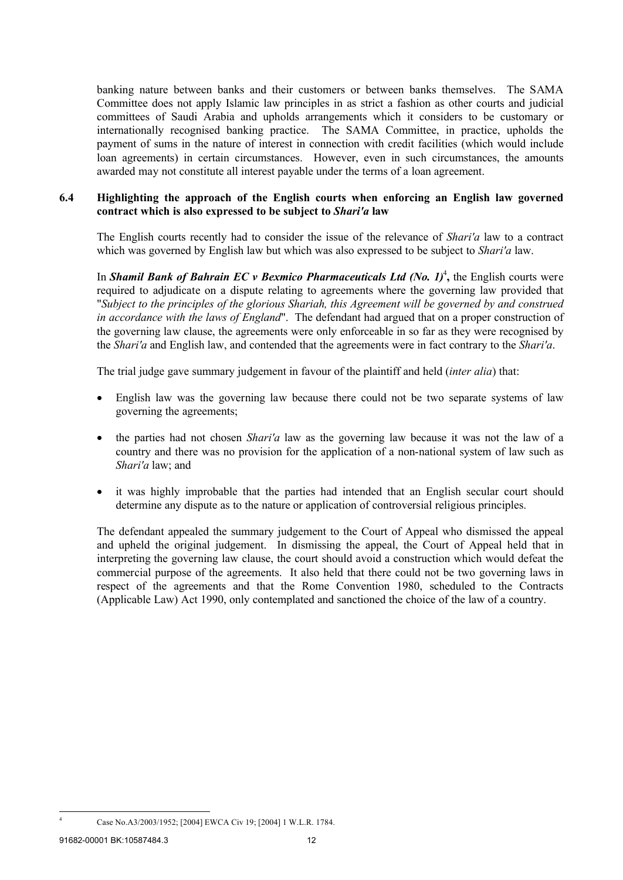banking nature between banks and their customers or between banks themselves. The SAMA Committee does not apply Islamic law principles in as strict a fashion as other courts and judicial committees of Saudi Arabia and upholds arrangements which it considers to be customary or internationally recognised banking practice. The SAMA Committee, in practice, upholds the payment of sums in the nature of interest in connection with credit facilities (which would include loan agreements) in certain circumstances. However, even in such circumstances, the amounts awarded may not constitute all interest payable under the terms of a loan agreement.

# **6.4 Highlighting the approach of the English courts when enforcing an English law governed contract which is also expressed to be subject to** *Shari'a* **law**

The English courts recently had to consider the issue of the relevance of *Shari'a* law to a contract which was governed by English law but which was also expressed to be subject to *Shari'a* law.

In *Shamil Bank of Bahrain EC v Bexmico Pharmaceuticals Ltd (No. 1)<sup>4</sup>, the English courts were* required to adjudicate on a dispute relating to agreements where the governing law provided that "*Subject to the principles of the glorious Shariah, this Agreement will be governed by and construed in accordance with the laws of England*". The defendant had argued that on a proper construction of the governing law clause, the agreements were only enforceable in so far as they were recognised by the *Shari'a* and English law, and contended that the agreements were in fact contrary to the *Shari'a*.

The trial judge gave summary judgement in favour of the plaintiff and held (*inter alia*) that:

- · English law was the governing law because there could not be two separate systems of law governing the agreements;
- · the parties had not chosen *Shari'a* law as the governing law because it was not the law of a country and there was no provision for the application of a non-national system of law such as *Shari'a* law; and
- it was highly improbable that the parties had intended that an English secular court should determine any dispute as to the nature or application of controversial religious principles.

The defendant appealed the summary judgement to the Court of Appeal who dismissed the appeal and upheld the original judgement. In dismissing the appeal, the Court of Appeal held that in interpreting the governing law clause, the court should avoid a construction which would defeat the commercial purpose of the agreements. It also held that there could not be two governing laws in respect of the agreements and that the Rome Convention 1980, scheduled to the Contracts (Applicable Law) Act 1990, only contemplated and sanctioned the choice of the law of a country.

<sup>4</sup> Case No.A3/2003/1952; [2004] EWCA Civ 19; [2004] 1 W.L.R. 1784.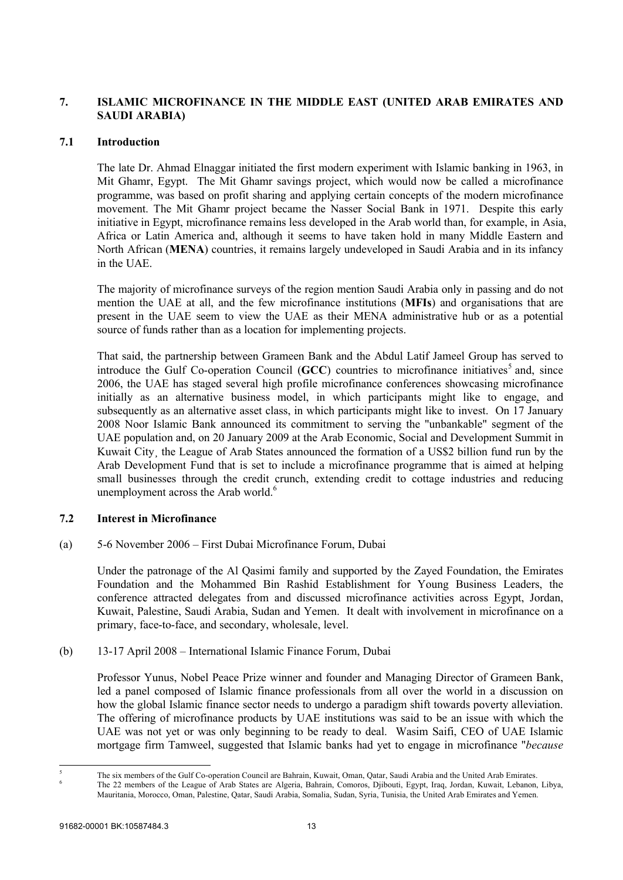# **7. ISLAMIC MICROFINANCE IN THE MIDDLE EAST (UNITED ARAB EMIRATES AND SAUDI ARABIA)**

## **7.1 Introduction**

The late Dr. Ahmad Elnaggar initiated the first modern experiment with Islamic banking in 1963, in Mit Ghamr, Egypt. The Mit Ghamr savings project, which would now be called a microfinance programme, was based on profit sharing and applying certain concepts of the modern microfinance movement. The Mit Ghamr project became the Nasser Social Bank in 1971. Despite this early initiative in Egypt, microfinance remains less developed in the Arab world than, for example, in Asia, Africa or Latin America and, although it seems to have taken hold in many Middle Eastern and North African (**MENA**) countries, it remains largely undeveloped in Saudi Arabia and in its infancy in the UAE.

The majority of microfinance surveys of the region mention Saudi Arabia only in passing and do not mention the UAE at all, and the few microfinance institutions (**MFIs**) and organisations that are present in the UAE seem to view the UAE as their MENA administrative hub or as a potential source of funds rather than as a location for implementing projects.

That said, the partnership between Grameen Bank and the Abdul Latif Jameel Group has served to introduce the Gulf Co-operation Council  $(GCC)$  countries to microfinance initiatives<sup>5</sup> and, since 2006, the UAE has staged several high profile microfinance conferences showcasing microfinance initially as an alternative business model, in which participants might like to engage, and subsequently as an alternative asset class, in which participants might like to invest. On 17 January 2008 Noor Islamic Bank announced its commitment to serving the "unbankable" segment of the UAE population and, on 20 January 2009 at the Arab Economic, Social and Development Summit in Kuwait City the League of Arab States announced the formation of a US\$2 billion fund run by the Arab Development Fund that is set to include a microfinance programme that is aimed at helping small businesses through the credit crunch, extending credit to cottage industries and reducing unemployment across the Arab world.<sup>6</sup>

# **7.2 Interest in Microfinance**

(a) 5-6 November 2006 – First Dubai Microfinance Forum, Dubai

Under the patronage of the Al Qasimi family and supported by the Zayed Foundation, the Emirates Foundation and the Mohammed Bin Rashid Establishment for Young Business Leaders, the conference attracted delegates from and discussed microfinance activities across Egypt, Jordan, Kuwait, Palestine, Saudi Arabia, Sudan and Yemen. It dealt with involvement in microfinance on a primary, face-to-face, and secondary, wholesale, level.

(b) 13-17 April 2008 – International Islamic Finance Forum, Dubai

Professor Yunus, Nobel Peace Prize winner and founder and Managing Director of Grameen Bank, led a panel composed of Islamic finance professionals from all over the world in a discussion on how the global Islamic finance sector needs to undergo a paradigm shift towards poverty alleviation. The offering of microfinance products by UAE institutions was said to be an issue with which the UAE was not yet or was only beginning to be ready to deal. Wasim Saifi, CEO of UAE Islamic mortgage firm Tamweel, suggested that Islamic banks had yet to engage in microfinance "*because* 

<sup>&</sup>lt;sup>5</sup> The six members of the Gulf Co-operation Council are Bahrain, Kuwait, Oman, Oatar, Saudi Arabia and the United Arab Emirates.

<sup>6</sup> The 22 members of the League of Arab States are Algeria, Bahrain, Comoros, Djibouti, Egypt, Iraq, Jordan, Kuwait, Lebanon, Libya, Mauritania, Morocco, Oman, Palestine, Qatar, Saudi Arabia, Somalia, Sudan, Syria, Tunisia, the United Arab Emirates and Yemen.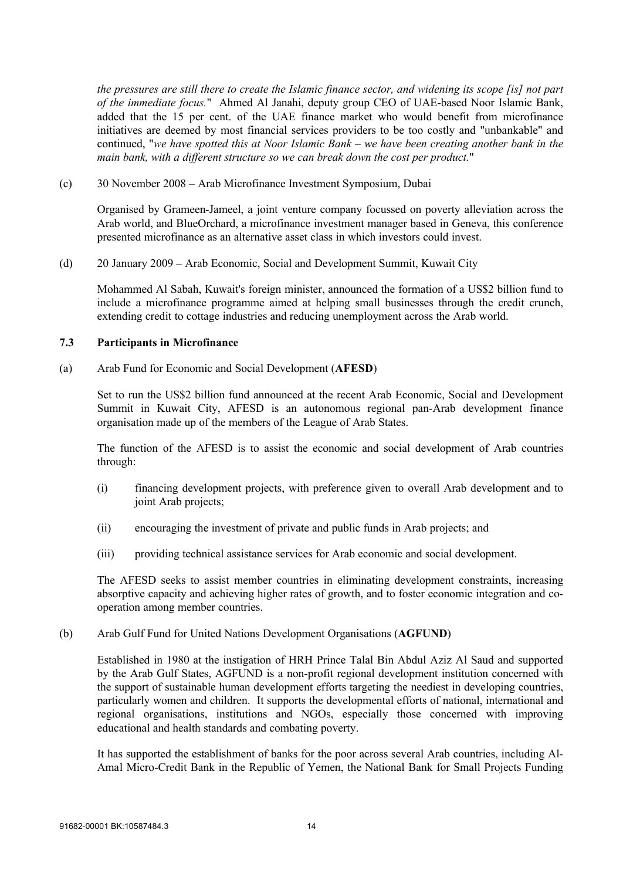*the pressures are still there to create the Islamic finance sector, and widening its scope [is] not part of the immediate focus.*" Ahmed Al Janahi, deputy group CEO of UAE-based Noor Islamic Bank, added that the 15 per cent. of the UAE finance market who would benefit from microfinance initiatives are deemed by most financial services providers to be too costly and "unbankable" and continued, "*we have spotted this at Noor Islamic Bank – we have been creating another bank in the main bank, with a different structure so we can break down the cost per product.*"

(c) 30 November 2008 – Arab Microfinance Investment Symposium, Dubai

Organised by Grameen-Jameel, a joint venture company focussed on poverty alleviation across the Arab world, and BlueOrchard, a microfinance investment manager based in Geneva, this conference presented microfinance as an alternative asset class in which investors could invest.

(d) 20 January 2009 – Arab Economic, Social and Development Summit, Kuwait City

Mohammed Al Sabah, Kuwait's foreign minister, announced the formation of a US\$2 billion fund to include a microfinance programme aimed at helping small businesses through the credit crunch, extending credit to cottage industries and reducing unemployment across the Arab world.

## **7.3 Participants in Microfinance**

(a) Arab Fund for Economic and Social Development (**AFESD**)

Set to run the US\$2 billion fund announced at the recent Arab Economic, Social and Development Summit in Kuwait City, AFESD is an autonomous regional pan-Arab development finance organisation made up of the members of the League of Arab States.

The function of the AFESD is to assist the economic and social development of Arab countries through:

- (i) financing development projects, with preference given to overall Arab development and to joint Arab projects;
- (ii) encouraging the investment of private and public funds in Arab projects; and
- (iii) providing technical assistance services for Arab economic and social development.

The AFESD seeks to assist member countries in eliminating development constraints, increasing absorptive capacity and achieving higher rates of growth, and to foster economic integration and cooperation among member countries.

(b) Arab Gulf Fund for United Nations Development Organisations (**AGFUND**)

Established in 1980 at the instigation of HRH Prince Talal Bin Abdul Aziz Al Saud and supported by the Arab Gulf States, AGFUND is a non-profit regional development institution concerned with the support of sustainable human development efforts targeting the neediest in developing countries, particularly women and children. It supports the developmental efforts of national, international and regional organisations, institutions and NGOs, especially those concerned with improving educational and health standards and combating poverty.

It has supported the establishment of banks for the poor across several Arab countries, including Al-Amal Micro-Credit Bank in the Republic of Yemen, the National Bank for Small Projects Funding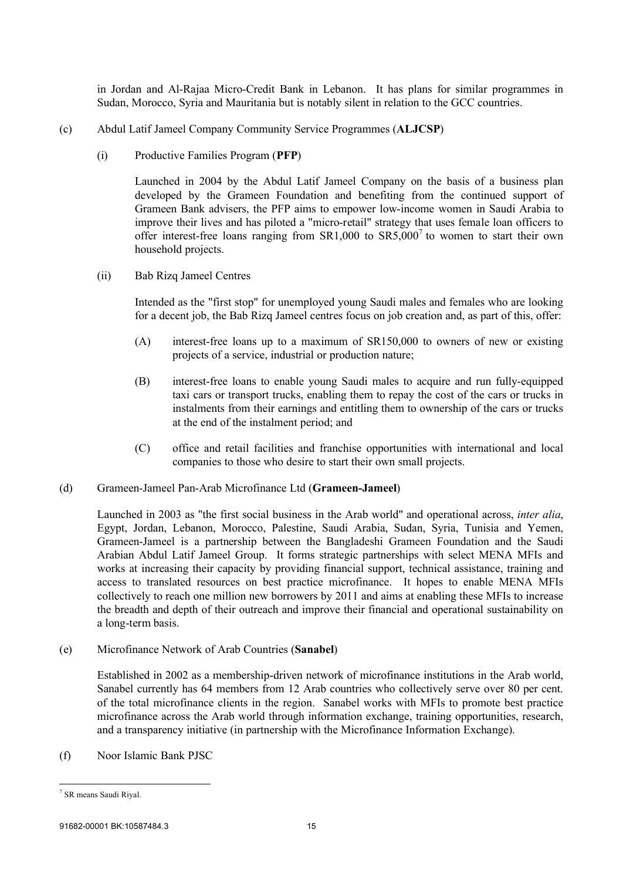in Jordan and Al-Rajaa Micro-Credit Bank in Lebanon. It has plans for similar programmes in Sudan, Morocco, Syria and Mauritania but is notably silent in relation to the GCC countries.

- (c) Abdul Latif Jameel Company Community Service Programmes (**ALJCSP**)
	- (i) Productive Families Program (**PFP**)

Launched in 2004 by the Abdul Latif Jameel Company on the basis of a business plan developed by the Grameen Foundation and benefiting from the continued support of Grameen Bank advisers, the PFP aims to empower low-income women in Saudi Arabia to improve their lives and has piloted a "micro-retail" strategy that uses female loan officers to offer interest-free loans ranging from  $SR1,000$  to  $SR5,000^7$  to women to start their own household projects.

(ii) Bab Rizq Jameel Centres

Intended as the "first stop" for unemployed young Saudi males and females who are looking for a decent job, the Bab Rizq Jameel centres focus on job creation and, as part of this, offer:

- (A) interest-free loans up to a maximum of SR150,000 to owners of new or existing projects of a service, industrial or production nature;
- (B) interest-free loans to enable young Saudi males to acquire and run fully-equipped taxi cars or transport trucks, enabling them to repay the cost of the cars or trucks in instalments from their earnings and entitling them to ownership of the cars or trucks at the end of the instalment period; and
- (C) office and retail facilities and franchise opportunities with international and local companies to those who desire to start their own small projects.
- (d) Grameen-Jameel Pan-Arab Microfinance Ltd (**Grameen-Jameel**)

Launched in 2003 as "the first social business in the Arab world" and operational across, *inter alia*, Egypt, Jordan, Lebanon, Morocco, Palestine, Saudi Arabia, Sudan, Syria, Tunisia and Yemen, Grameen-Jameel is a partnership between the Bangladeshi Grameen Foundation and the Saudi Arabian Abdul Latif Jameel Group. It forms strategic partnerships with select MENA MFIs and works at increasing their capacity by providing financial support, technical assistance, training and access to translated resources on best practice microfinance. It hopes to enable MENA MFIs collectively to reach one million new borrowers by 2011 and aims at enabling these MFIs to increase the breadth and depth of their outreach and improve their financial and operational sustainability on a long-term basis.

(e) Microfinance Network of Arab Countries (**Sanabel**)

Established in 2002 as a membership-driven network of microfinance institutions in the Arab world, Sanabel currently has 64 members from 12 Arab countries who collectively serve over 80 per cent. of the total microfinance clients in the region. Sanabel works with MFIs to promote best practice microfinance across the Arab world through information exchange, training opportunities, research, and a transparency initiative (in partnership with the Microfinance Information Exchange).

(f) Noor Islamic Bank PJSC

<sup>&</sup>lt;sup>7</sup> SR means Saudi Riyal.

<sup>91682-00001</sup> BK:10587484.3 15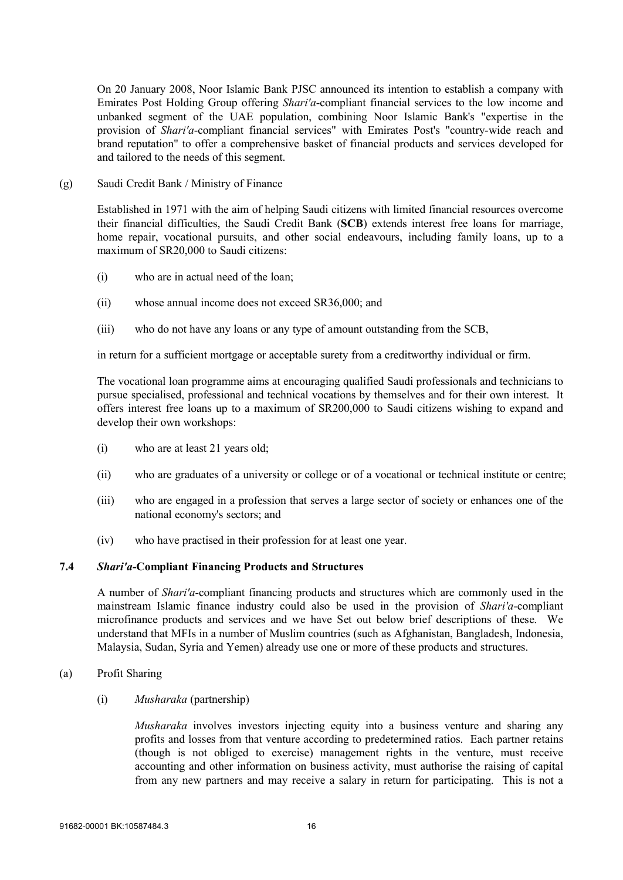On 20 January 2008, Noor Islamic Bank PJSC announced its intention to establish a company with Emirates Post Holding Group offering *Shari'a*-compliant financial services to the low income and unbanked segment of the UAE population, combining Noor Islamic Bank's "expertise in the provision of *Shari'a*-compliant financial services" with Emirates Post's "country-wide reach and brand reputation" to offer a comprehensive basket of financial products and services developed for and tailored to the needs of this segment.

(g) Saudi Credit Bank / Ministry of Finance

Established in 1971 with the aim of helping Saudi citizens with limited financial resources overcome their financial difficulties, the Saudi Credit Bank (**SCB**) extends interest free loans for marriage, home repair, vocational pursuits, and other social endeavours, including family loans, up to a maximum of SR20,000 to Saudi citizens:

- (i) who are in actual need of the loan;
- (ii) whose annual income does not exceed SR36,000; and
- (iii) who do not have any loans or any type of amount outstanding from the SCB,

in return for a sufficient mortgage or acceptable surety from a creditworthy individual or firm.

The vocational loan programme aims at encouraging qualified Saudi professionals and technicians to pursue specialised, professional and technical vocations by themselves and for their own interest. It offers interest free loans up to a maximum of SR200,000 to Saudi citizens wishing to expand and develop their own workshops:

- (i) who are at least 21 years old;
- (ii) who are graduates of a university or college or of a vocational or technical institute or centre;
- (iii) who are engaged in a profession that serves a large sector of society or enhances one of the national economy's sectors; and
- (iv) who have practised in their profession for at least one year.

#### **7.4** *Shari'a***-Compliant Financing Products and Structures**

A number of *Shari'a*-compliant financing products and structures which are commonly used in the mainstream Islamic finance industry could also be used in the provision of *Shari'a*-compliant microfinance products and services and we have Set out below brief descriptions of these. We understand that MFIs in a number of Muslim countries (such as Afghanistan, Bangladesh, Indonesia, Malaysia, Sudan, Syria and Yemen) already use one or more of these products and structures.

- (a) Profit Sharing
	- (i) *Musharaka* (partnership)

*Musharaka* involves investors injecting equity into a business venture and sharing any profits and losses from that venture according to predetermined ratios. Each partner retains (though is not obliged to exercise) management rights in the venture, must receive accounting and other information on business activity, must authorise the raising of capital from any new partners and may receive a salary in return for participating. This is not a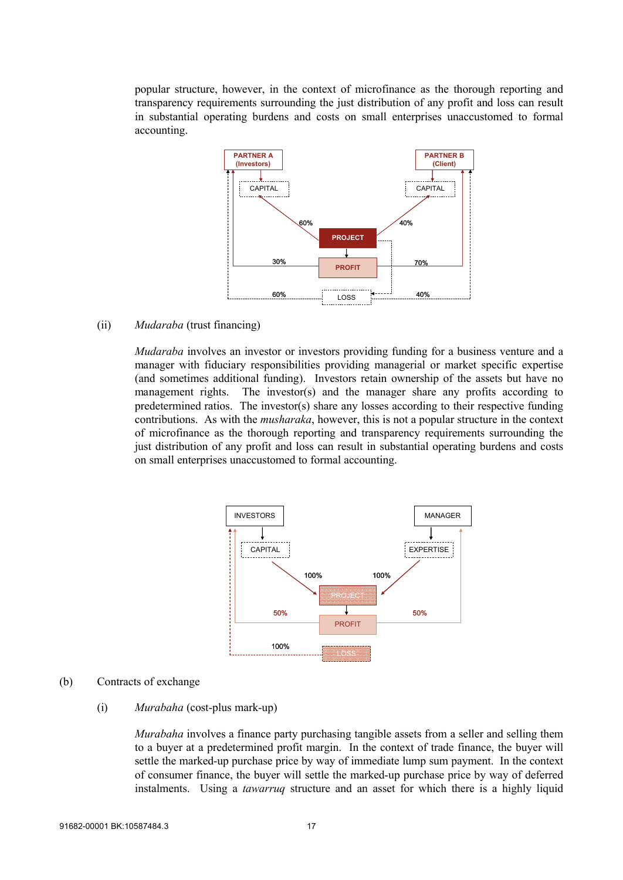popular structure, however, in the context of microfinance as the thorough reporting and transparency requirements surrounding the just distribution of any profit and loss can result in substantial operating burdens and costs on small enterprises unaccustomed to formal accounting.



#### (ii) *Mudaraba* (trust financing)

*Mudaraba* involves an investor or investors providing funding for a business venture and a manager with fiduciary responsibilities providing managerial or market specific expertise (and sometimes additional funding). Investors retain ownership of the assets but have no management rights. The investor(s) and the manager share any profits according to predetermined ratios. The investor(s) share any losses according to their respective funding contributions. As with the *musharaka*, however, this is not a popular structure in the context of microfinance as the thorough reporting and transparency requirements surrounding the just distribution of any profit and loss can result in substantial operating burdens and costs on small enterprises unaccustomed to formal accounting.



- (b) Contracts of exchange
	- (i) *Murabaha* (cost-plus mark-up)

*Murabaha* involves a finance party purchasing tangible assets from a seller and selling them to a buyer at a predetermined profit margin. In the context of trade finance, the buyer will settle the marked-up purchase price by way of immediate lump sum payment. In the context of consumer finance, the buyer will settle the marked-up purchase price by way of deferred instalments. Using a *tawarruq* structure and an asset for which there is a highly liquid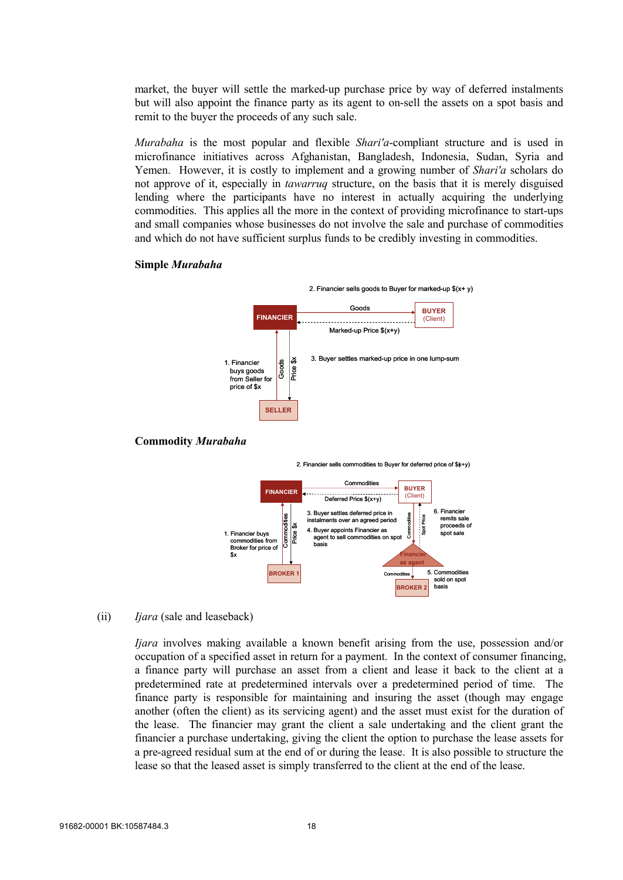market, the buyer will settle the marked-up purchase price by way of deferred instalments but will also appoint the finance party as its agent to on-sell the assets on a spot basis and remit to the buyer the proceeds of any such sale.

*Murabaha* is the most popular and flexible *Shari'a*-compliant structure and is used in microfinance initiatives across Afghanistan, Bangladesh, Indonesia, Sudan, Syria and Yemen. However, it is costly to implement and a growing number of *Shari'a* scholars do not approve of it, especially in *tawarruq* structure, on the basis that it is merely disguised lending where the participants have no interest in actually acquiring the underlying commodities. This applies all the more in the context of providing microfinance to start-ups and small companies whose businesses do not involve the sale and purchase of commodities and which do not have sufficient surplus funds to be credibly investing in commodities.

#### **Simple** *Murabaha*



#### **Commodity** *Murabaha*



#### (ii) *Ijara* (sale and leaseback)

*Ijara* involves making available a known benefit arising from the use, possession and/or occupation of a specified asset in return for a payment. In the context of consumer financing, a finance party will purchase an asset from a client and lease it back to the client at a predetermined rate at predetermined intervals over a predetermined period of time. The finance party is responsible for maintaining and insuring the asset (though may engage another (often the client) as its servicing agent) and the asset must exist for the duration of the lease. The financier may grant the client a sale undertaking and the client grant the financier a purchase undertaking, giving the client the option to purchase the lease assets for a pre-agreed residual sum at the end of or during the lease. It is also possible to structure the lease so that the leased asset is simply transferred to the client at the end of the lease.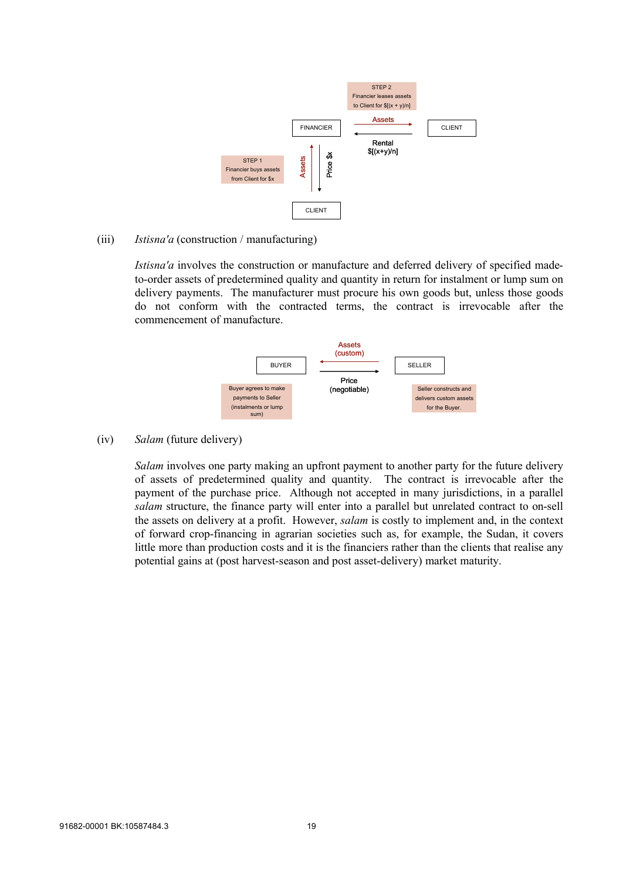

#### (iii) *Istisna'a* (construction / manufacturing)

*Istisna'a* involves the construction or manufacture and deferred delivery of specified madeto-order assets of predetermined quality and quantity in return for instalment or lump sum on delivery payments. The manufacturer must procure his own goods but, unless those goods do not conform with the contracted terms, the contract is irrevocable after the commencement of manufacture.



#### (iv) *Salam* (future delivery)

(iii) *Istisna'a* (construction / manufacturing<br>  $I_{stisna}/a$  involves the construction or r<br>
to-order assets of predetermined quality<br>
delivery payments. The manufacture commencement of manufacture.<br>  $\frac{I_{stisna}}{I_{stisna}}$ <br>  $\frac$ *Salam* involves one party making an upfront payment to another party for the future delivery of assets of predetermined quality and quantity. The contract is irrevocable after the payment of the purchase price. Although not accepted in many jurisdictions, in a parallel *salam* structure, the finance party will enter into a parallel but unrelated contract to on-sell the assets on delivery at a profit. However, *salam* is costly to implement and, in the context of forward crop-financing in agrarian societies such as, for example, the Sudan, it covers little more than production costs and it is the financiers rather than the clients that realise any potential gains at (post harvest-season and post asset-delivery) market maturity.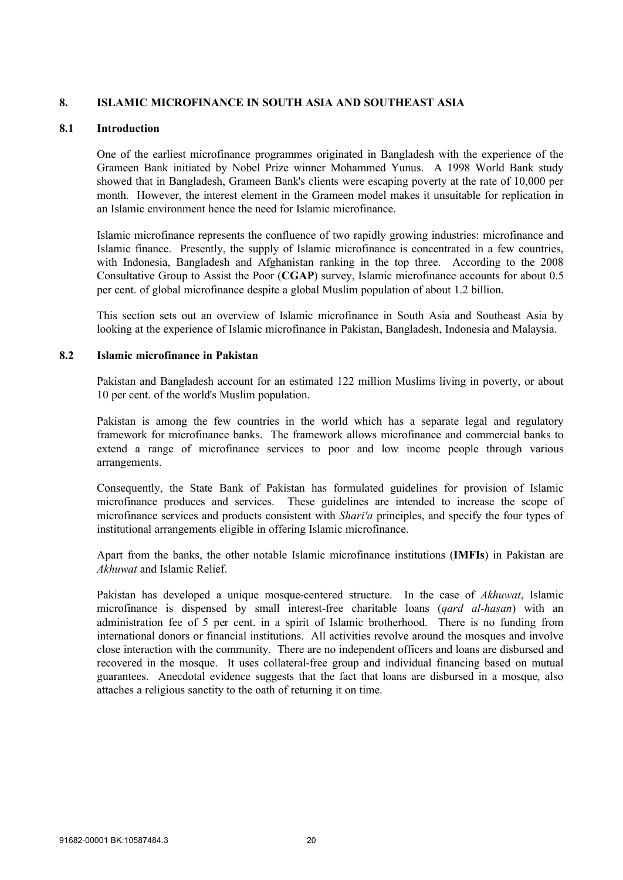## **8. ISLAMIC MICROFINANCE IN SOUTH ASIA AND SOUTHEAST ASIA**

#### **8.1 Introduction**

One of the earliest microfinance programmes originated in Bangladesh with the experience of the Grameen Bank initiated by Nobel Prize winner Mohammed Yunus. A 1998 World Bank study showed that in Bangladesh, Grameen Bank's clients were escaping poverty at the rate of 10,000 per month. However, the interest element in the Grameen model makes it unsuitable for replication in an Islamic environment hence the need for Islamic microfinance.

Islamic microfinance represents the confluence of two rapidly growing industries: microfinance and Islamic finance. Presently, the supply of Islamic microfinance is concentrated in a few countries, with Indonesia, Bangladesh and Afghanistan ranking in the top three. According to the 2008 Consultative Group to Assist the Poor (**CGAP**) survey, Islamic microfinance accounts for about 0.5 per cent. of global microfinance despite a global Muslim population of about 1.2 billion.

This section sets out an overview of Islamic microfinance in South Asia and Southeast Asia by looking at the experience of Islamic microfinance in Pakistan, Bangladesh, Indonesia and Malaysia.

#### **8.2 Islamic microfinance in Pakistan**

Pakistan and Bangladesh account for an estimated 122 million Muslims living in poverty, or about 10 per cent. of the world's Muslim population.

Pakistan is among the few countries in the world which has a separate legal and regulatory framework for microfinance banks. The framework allows microfinance and commercial banks to extend a range of microfinance services to poor and low income people through various arrangements.

Consequently, the State Bank of Pakistan has formulated guidelines for provision of Islamic microfinance produces and services. These guidelines are intended to increase the scope of microfinance services and products consistent with *Shari'a* principles, and specify the four types of institutional arrangements eligible in offering Islamic microfinance.

Apart from the banks, the other notable Islamic microfinance institutions (**IMFIs**) in Pakistan are *Akhuwat* and Islamic Relief.

Pakistan has developed a unique mosque-centered structure. In the case of *Akhuwat*, Islamic microfinance is dispensed by small interest-free charitable loans (*qard al-hasan*) with an administration fee of 5 per cent. in a spirit of Islamic brotherhood. There is no funding from international donors or financial institutions. All activities revolve around the mosques and involve close interaction with the community. There are no independent officers and loans are disbursed and recovered in the mosque. It uses collateral-free group and individual financing based on mutual guarantees. Anecdotal evidence suggests that the fact that loans are disbursed in a mosque, also attaches a religious sanctity to the oath of returning it on time.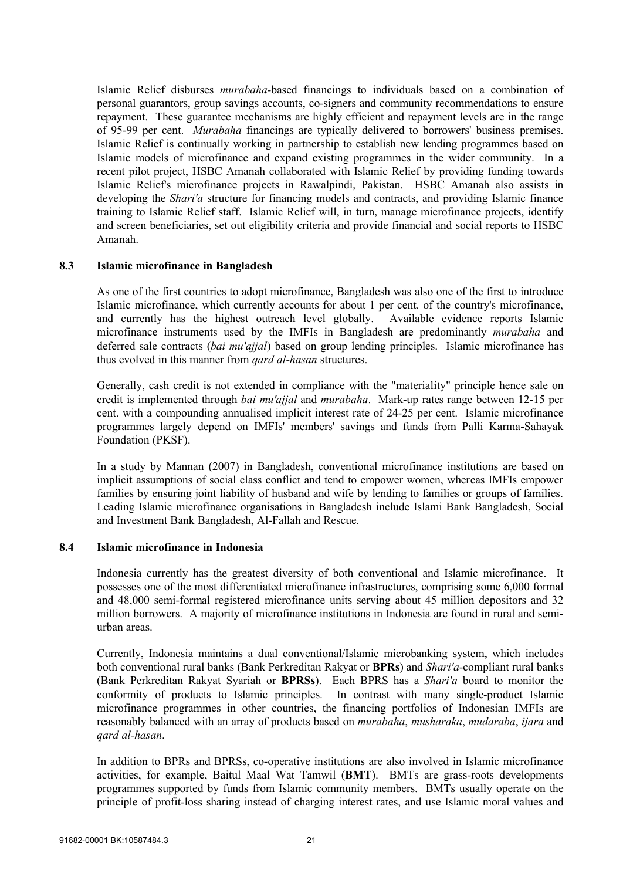Islamic Relief disburses *murabaha-*based financings to individuals based on a combination of personal guarantors, group savings accounts, co-signers and community recommendations to ensure repayment. These guarantee mechanisms are highly efficient and repayment levels are in the range of 95-99 per cent. *Murabaha* financings are typically delivered to borrowers' business premises. Islamic Relief is continually working in partnership to establish new lending programmes based on Islamic models of microfinance and expand existing programmes in the wider community. In a recent pilot project, HSBC Amanah collaborated with Islamic Relief by providing funding towards Islamic Relief's microfinance projects in Rawalpindi, Pakistan. HSBC Amanah also assists in developing the *Shari'a* structure for financing models and contracts, and providing Islamic finance training to Islamic Relief staff. Islamic Relief will, in turn, manage microfinance projects, identify and screen beneficiaries, set out eligibility criteria and provide financial and social reports to HSBC Amanah.

#### **8.3 Islamic microfinance in Bangladesh**

As one of the first countries to adopt microfinance, Bangladesh was also one of the first to introduce Islamic microfinance, which currently accounts for about 1 per cent. of the country's microfinance, and currently has the highest outreach level globally. Available evidence reports Islamic microfinance instruments used by the IMFIs in Bangladesh are predominantly *murabaha* and deferred sale contracts (*bai mu'ajjal*) based on group lending principles. Islamic microfinance has thus evolved in this manner from *qard al-hasan* structures.

Generally, cash credit is not extended in compliance with the "materiality" principle hence sale on credit is implemented through *bai mu'ajjal* and *murabaha*. Mark-up rates range between 12-15 per cent. with a compounding annualised implicit interest rate of 24-25 per cent. Islamic microfinance programmes largely depend on IMFIs' members' savings and funds from Palli Karma-Sahayak Foundation (PKSF).

In a study by Mannan (2007) in Bangladesh, conventional microfinance institutions are based on implicit assumptions of social class conflict and tend to empower women, whereas IMFIs empower families by ensuring joint liability of husband and wife by lending to families or groups of families. Leading Islamic microfinance organisations in Bangladesh include Islami Bank Bangladesh, Social and Investment Bank Bangladesh, Al-Fallah and Rescue.

## **8.4 Islamic microfinance in Indonesia**

Indonesia currently has the greatest diversity of both conventional and Islamic microfinance. It possesses one of the most differentiated microfinance infrastructures, comprising some 6,000 formal and 48,000 semi-formal registered microfinance units serving about 45 million depositors and 32 million borrowers. A majority of microfinance institutions in Indonesia are found in rural and semiurban areas.

Currently, Indonesia maintains a dual conventional/Islamic microbanking system, which includes both conventional rural banks (Bank Perkreditan Rakyat or **BPRs**) and *Shari'a*-compliant rural banks (Bank Perkreditan Rakyat Syariah or **BPRSs**). Each BPRS has a *Shari'a* board to monitor the conformity of products to Islamic principles. In contrast with many single-product Islamic microfinance programmes in other countries, the financing portfolios of Indonesian IMFIs are reasonably balanced with an array of products based on *murabaha*, *musharaka*, *mudaraba*, *ijara* and *qard al-hasan*.

In addition to BPRs and BPRSs, co-operative institutions are also involved in Islamic microfinance activities, for example, Baitul Maal Wat Tamwil (**BMT**). BMTs are grass-roots developments programmes supported by funds from Islamic community members. BMTs usually operate on the principle of profit-loss sharing instead of charging interest rates, and use Islamic moral values and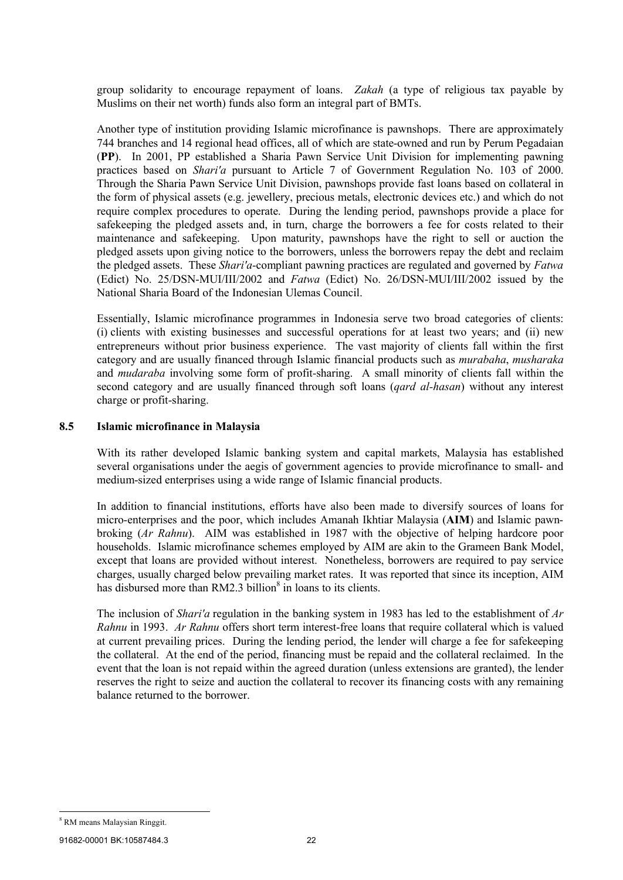group solidarity to encourage repayment of loans. *Zakah* (a type of religious tax payable by Muslims on their net worth) funds also form an integral part of BMTs.

Another type of institution providing Islamic microfinance is pawnshops. There are approximately 744 branches and 14 regional head offices, all of which are state-owned and run by Perum Pegadaian (**PP**). In 2001, PP established a Sharia Pawn Service Unit Division for implementing pawning practices based on *Shari'a* pursuant to Article 7 of Government Regulation No. 103 of 2000. Through the Sharia Pawn Service Unit Division, pawnshops provide fast loans based on collateral in the form of physical assets (e.g. jewellery, precious metals, electronic devices etc.) and which do not require complex procedures to operate. During the lending period, pawnshops provide a place for safekeeping the pledged assets and, in turn, charge the borrowers a fee for costs related to their maintenance and safekeeping. Upon maturity, pawnshops have the right to sell or auction the pledged assets upon giving notice to the borrowers, unless the borrowers repay the debt and reclaim the pledged assets. These *Shari'a*-compliant pawning practices are regulated and governed by *Fatwa* (Edict) No. 25/DSN-MUI/III/2002 and *Fatwa* (Edict) No. 26/DSN-MUI/III/2002 issued by the National Sharia Board of the Indonesian Ulemas Council.

Essentially, Islamic microfinance programmes in Indonesia serve two broad categories of clients: (i) clients with existing businesses and successful operations for at least two years; and (ii) new entrepreneurs without prior business experience. The vast majority of clients fall within the first category and are usually financed through Islamic financial products such as *murabaha*, *musharaka* and *mudaraba* involving some form of profit-sharing. A small minority of clients fall within the second category and are usually financed through soft loans (*qard al-hasan*) without any interest charge or profit-sharing.

## **8.5 Islamic microfinance in Malaysia**

With its rather developed Islamic banking system and capital markets, Malaysia has established several organisations under the aegis of government agencies to provide microfinance to small- and medium-sized enterprises using a wide range of Islamic financial products.

In addition to financial institutions, efforts have also been made to diversify sources of loans for micro-enterprises and the poor, which includes Amanah Ikhtiar Malaysia (**AIM**) and Islamic pawnbroking (*Ar Rahnu*). AIM was established in 1987 with the objective of helping hardcore poor households. Islamic microfinance schemes employed by AIM are akin to the Grameen Bank Model, except that loans are provided without interest. Nonetheless, borrowers are required to pay service charges, usually charged below prevailing market rates. It was reported that since its inception, AIM has disbursed more than  $RM2.3$  billion<sup>8</sup> in loans to its clients.

The inclusion of *Shari'a* regulation in the banking system in 1983 has led to the establishment of *Ar Rahnu* in 1993. *Ar Rahnu* offers short term interest-free loans that require collateral which is valued at current prevailing prices. During the lending period, the lender will charge a fee for safekeeping the collateral. At the end of the period, financing must be repaid and the collateral reclaimed. In the event that the loan is not repaid within the agreed duration (unless extensions are granted), the lender reserves the right to seize and auction the collateral to recover its financing costs with any remaining balance returned to the borrower.

<sup>8</sup> RM means Malaysian Ringgit.

<sup>91682-00001</sup> BK:10587484.3 22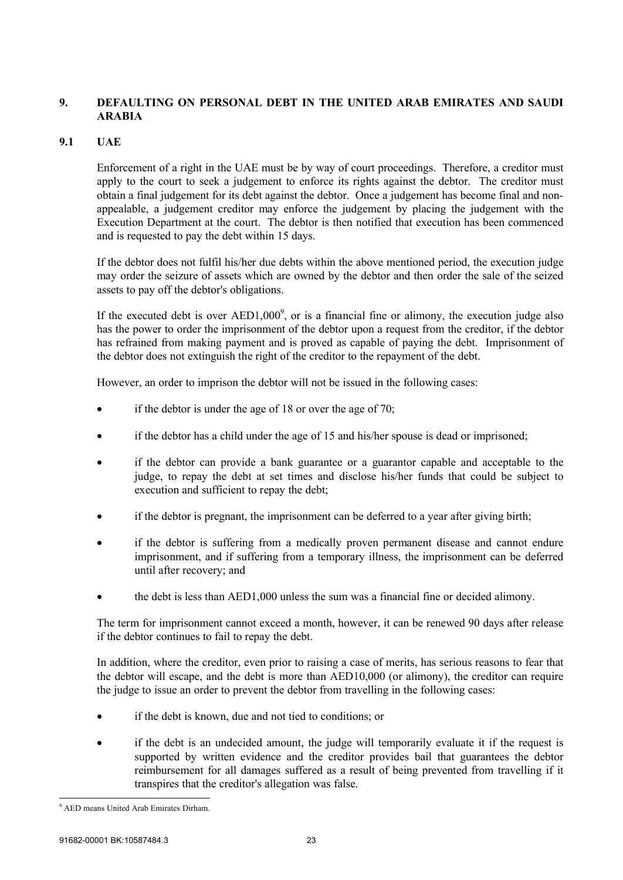# **9. DEFAULTING ON PERSONAL DEBT IN THE UNITED ARAB EMIRATES AND SAUDI ARABIA**

# **9.1 UAE**

Enforcement of a right in the UAE must be by way of court proceedings. Therefore, a creditor must apply to the court to seek a judgement to enforce its rights against the debtor. The creditor must obtain a final judgement for its debt against the debtor. Once a judgement has become final and nonappealable, a judgement creditor may enforce the judgement by placing the judgement with the Execution Department at the court. The debtor is then notified that execution has been commenced and is requested to pay the debt within 15 days.

If the debtor does not fulfil his/her due debts within the above mentioned period, the execution judge may order the seizure of assets which are owned by the debtor and then order the sale of the seized assets to pay off the debtor's obligations.

If the executed debt is over  $AED1,000^9$ , or is a financial fine or alimony, the execution judge also has the power to order the imprisonment of the debtor upon a request from the creditor, if the debtor has refrained from making payment and is proved as capable of paying the debt. Imprisonment of the debtor does not extinguish the right of the creditor to the repayment of the debt.

However, an order to imprison the debtor will not be issued in the following cases:

- if the debtor is under the age of 18 or over the age of 70;
- if the debtor has a child under the age of 15 and his/her spouse is dead or imprisoned;
- · if the debtor can provide a bank guarantee or a guarantor capable and acceptable to the judge, to repay the debt at set times and disclose his/her funds that could be subject to execution and sufficient to repay the debt;
- if the debtor is pregnant, the imprisonment can be deferred to a year after giving birth;
- if the debtor is suffering from a medically proven permanent disease and cannot endure imprisonment, and if suffering from a temporary illness, the imprisonment can be deferred until after recovery; and
- · the debt is less than AED1,000 unless the sum was a financial fine or decided alimony.

The term for imprisonment cannot exceed a month, however, it can be renewed 90 days after release if the debtor continues to fail to repay the debt.

In addition, where the creditor, even prior to raising a case of merits, has serious reasons to fear that the debtor will escape, and the debt is more than AED10,000 (or alimony), the creditor can require the judge to issue an order to prevent the debtor from travelling in the following cases:

- if the debt is known, due and not tied to conditions; or
- if the debt is an undecided amount, the judge will temporarily evaluate it if the request is supported by written evidence and the creditor provides bail that guarantees the debtor reimbursement for all damages suffered as a result of being prevented from travelling if it transpires that the creditor's allegation was false.

<sup>9</sup> AED means United Arab Emirates Dirham.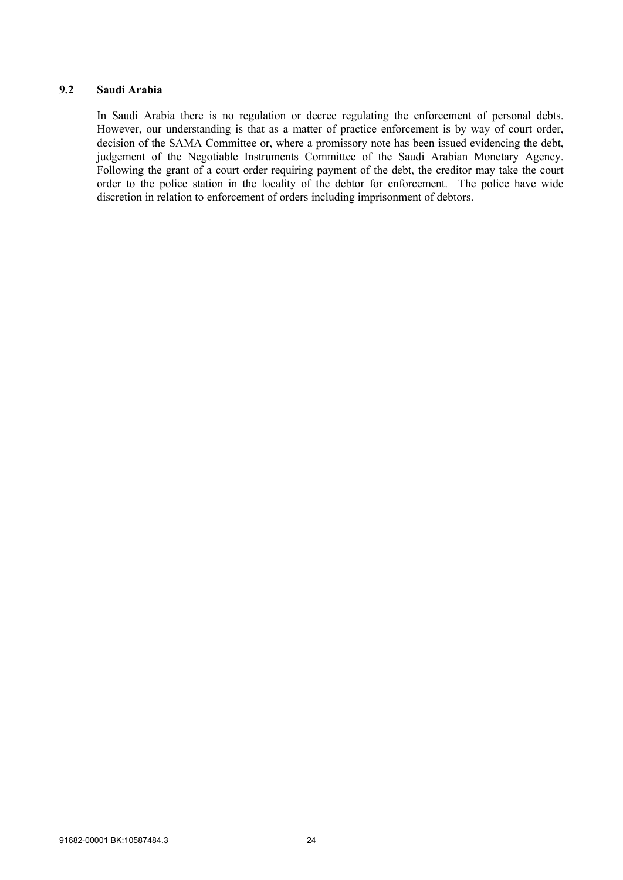# **9.2 Saudi Arabia**

In Saudi Arabia there is no regulation or decree regulating the enforcement of personal debts. However, our understanding is that as a matter of practice enforcement is by way of court order, decision of the SAMA Committee or, where a promissory note has been issued evidencing the debt, judgement of the Negotiable Instruments Committee of the Saudi Arabian Monetary Agency. Following the grant of a court order requiring payment of the debt, the creditor may take the court order to the police station in the locality of the debtor for enforcement. The police have wide discretion in relation to enforcement of orders including imprisonment of debtors.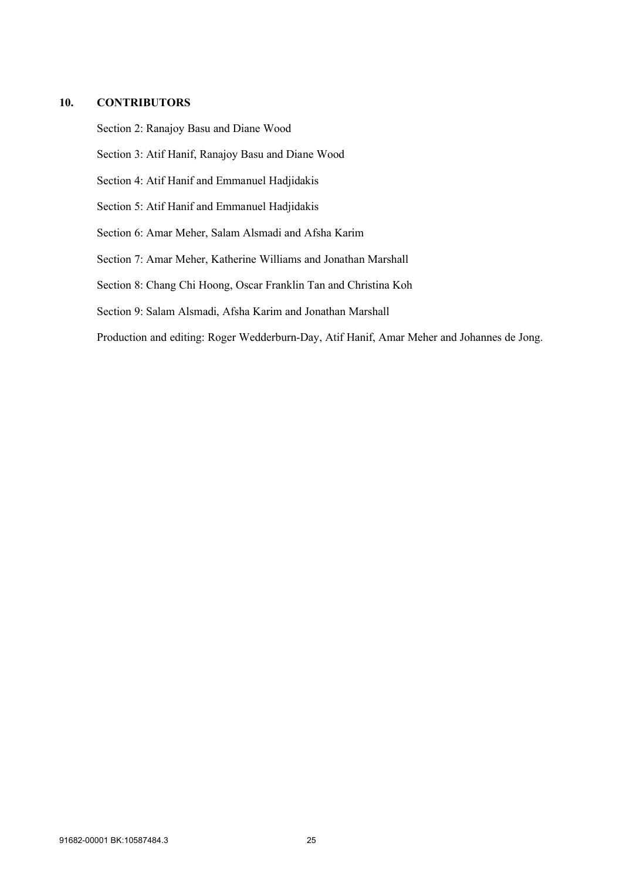## **10. CONTRIBUTORS**

Section 2: Ranajoy Basu and Diane Wood

Section 3: Atif Hanif, Ranajoy Basu and Diane Wood

Section 4: Atif Hanif and Emmanuel Hadjidakis

Section 5: Atif Hanif and Emmanuel Hadjidakis

Section 6: Amar Meher, Salam Alsmadi and Afsha Karim

Section 7: Amar Meher, Katherine Williams and Jonathan Marshall

Section 8: Chang Chi Hoong, Oscar Franklin Tan and Christina Koh

Section 9: Salam Alsmadi, Afsha Karim and Jonathan Marshall

Production and editing: Roger Wedderburn-Day, Atif Hanif, Amar Meher and Johannes de Jong.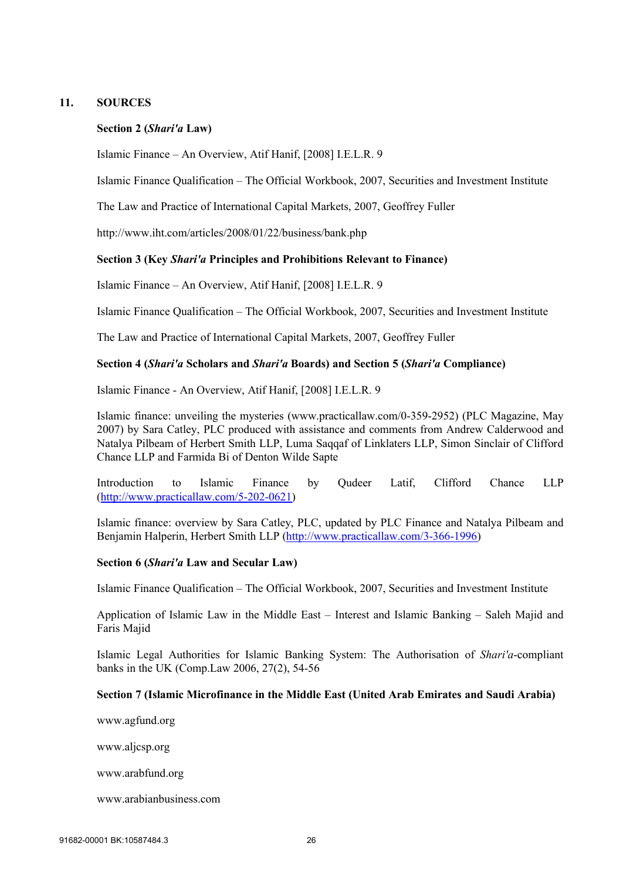# **11. SOURCES**

## **Section 2 (***Shari'a* **Law)**

Islamic Finance – An Overview, Atif Hanif, [2008] I.E.L.R. 9

Islamic Finance Qualification – The Official Workbook, 2007, Securities and Investment Institute

The Law and Practice of International Capital Markets, 2007, Geoffrey Fuller

[http://w](http://www.iht.com/articles/2008/01/22/business/bank.php)[ww.iht.com/articles/2008/01/22/business/bank.php](www.iht.com/articles/2008/01/22/business/bank.php)

#### **Section 3 (Key** *Shari'a* **Principles and Prohibitions Relevant to Finance)**

Islamic Finance – An Overview, Atif Hanif, [2008] I.E.L.R. 9

Islamic Finance Qualification – The Official Workbook, 2007, Securities and Investment Institute

The Law and Practice of International Capital Markets, 2007, Geoffrey Fuller

#### **Section 4 (***Shari'a* **Scholars and** *Shari'a* **Boards) and Section 5 (***Shari'a* **Compliance)**

Islamic Finance - An Overview, Atif Hanif, [2008] I.E.L.R. 9

Islamic finance: unveiling the mysteries [\(www.practicallaw.com/0-359-2952\)](www.practicallaw.com/0-359-2952)(PLC) (PLC Magazine, May 2007) by Sara Catley, PLC produced with assistance and comments from Andrew Calderwood and Natalya Pilbeam of Herbert Smith LLP, Luma Saqqaf of Linklaters LLP, Simon Sinclair of Clifford Chance LLP and Farmida Bi of Denton Wilde Sapte

Introduction to Islamic Finance by Qudeer Latif, Clifford Chance LLP [\(http://](http://www.practicallaw.com/5-202-0621)[www.practicallaw.com/5-202-0621\)](www.practicallaw.com/5-202-0621)

Islamic finance: overview by Sara Catley, PLC, updated by PLC Finance and Natalya Pilbeam and Benjamin Halperin, Herbert Smith LLP ([http://w](http://www.practicallaw.com/3-366-1996)[ww.practicallaw.com/3-366-1996](www.practicallaw.com/3-366-1996))

#### **Section 6 (***Shari'a* **Law and Secular Law)**

Islamic Finance Qualification – The Official Workbook, 2007, Securities and Investment Institute

Application of Islamic Law in the Middle East – Interest and Islamic Banking – Saleh Majid and Faris Majid

Islamic Legal Authorities for Islamic Banking System: The Authorisation of *Shari'a*-compliant banks in the UK (Comp.Law 2006, 27(2), 54-56

## **Section 7 (Islamic Microfinance in the Middle East (United Arab Emirates and Saudi Arabia)**

<www.agfund.org>

<www.aljcsp.org>

<www.arabfund.org>

<www.arabianbusiness.com>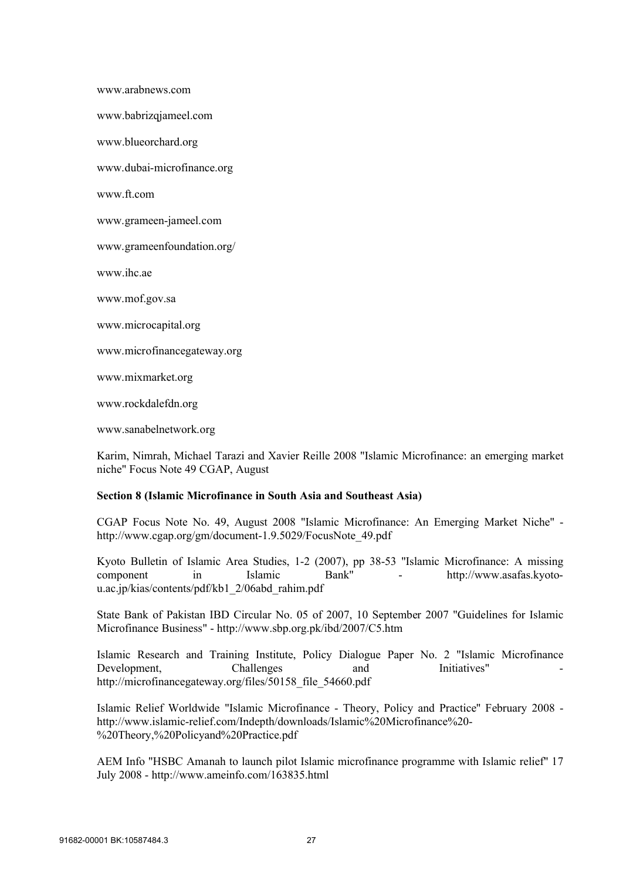<www.arabnews.com>

<www.babrizqjameel.com>

<www.blueorchard.org>

<www.dubai-microfinance.org>

<www.ft.com>

<www.grameen-jameel.com>

<www.grameenfoundation.org/>

<www.ihc.ae>

<www.mof.gov.sa>

<www.microcapital.org>

<www.microfinancegateway.org>

<www.mixmarket.org>

<www.rockdalefdn.org>

<www.sanabelnetwork.org>

Karim, Nimrah, Michael Tarazi and Xavier Reille 2008 "Islamic Microfinance: an emerging market niche" Focus Note 49 CGAP, August

#### **Section 8 (Islamic Microfinance in South Asia and Southeast Asia)**

CGAP Focus Note No. 49, August 2008 "Islamic Microfinance: An Emerging Market Niche" [http://w](http://www.cgap.org/gm/document-1.9.5029/FocusNote_49.pdf)[ww.cgap.org/gm/document-1.9.5029/FocusNote\\_49.pdf](www.cgap.org/gm/document-1.9.5029/FocusNote_49.pdf)

Kyoto Bulletin of Islamic Area Studies, 1-2 (2007), pp 38-53 "Islamic Microfinance: A missing component in Islamic Bank" - [http://](http://www.asafas.kyoto-)[www.asafas.kyoto](www.asafas.kyoto-)u.ac.jp/kias/contents/pdf/kb1\_2/06abd\_rahim.pdf

State Bank of Pakistan IBD Circular No. 05 of 2007, 10 September 2007 "Guidelines for Islamic Microfinance Business" - [http://w](http://www.sbp.org.pk/ibd/2007/C5.htm)[ww.sbp.org.pk/ibd/2007/C5.htm](www.sbp.org.pk/ibd/2007/C5.htm)

Islamic Research and Training Institute, Policy Dialogue Paper No. 2 "Islamic Microfinance Development, Challenges and Initiatives" [http://microfinancegateway.org/files/50158\\_file\\_54660.pdf](http://microfinancegateway.org/files/50158_file_54660.pdf)

Islamic Relief Worldwide "Islamic Microfinance - Theory, Policy and Practice" February 2008 [http://w](http://www.islamic-relief.com/Indepth/downloads/Islamic%20Microfinance%20-)[ww.islamic-relief.com/Indepth/downloads/Islamic%20Microfinance%20-](www.islamic-relief.com/Indepth/downloads/Islamic%20Microfinance%20-) %20Theory,%20Policyand%20Practice.pdf

AEM Info "HSBC Amanah to launch pilot Islamic microfinance programme with Islamic relief" 17 July 2008 - [http://](http://www.ameinfo.com/163835.html)<www.ameinfo.com/163835.html>